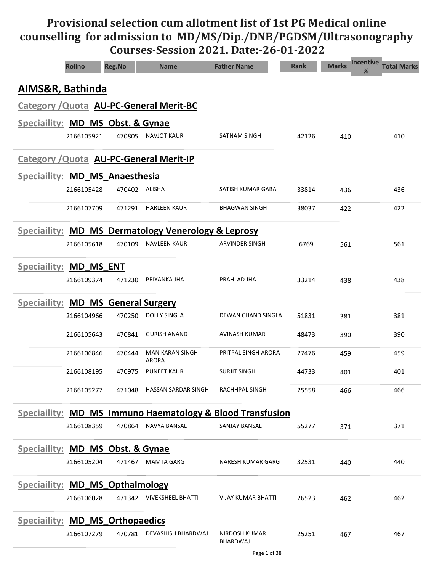# Provisional selection cum allotment list of 1st PG Medical online counselling for admission to MD/MS/Dip./DNB/PGDSM/Ultrasonography Courses-Session 2021. Date:-26-01-2022

|                                             | <b>Rollno</b>                           | <b>Reg.No</b> | <b>Name</b>                                                          | <b>Father Name</b>        | <b>Rank</b> | <b>Incentive</b><br><b>Marks</b><br>% | <b>Total Marks</b> |  |  |  |  |
|---------------------------------------------|-----------------------------------------|---------------|----------------------------------------------------------------------|---------------------------|-------------|---------------------------------------|--------------------|--|--|--|--|
| AIMS&R, Bathinda                            |                                         |               |                                                                      |                           |             |                                       |                    |  |  |  |  |
|                                             |                                         |               | <b>Category / Quota AU-PC-General Merit-BC</b>                       |                           |             |                                       |                    |  |  |  |  |
| <b>Speciallity: MD_MS_Obst. &amp; Gynae</b> |                                         |               |                                                                      |                           |             |                                       |                    |  |  |  |  |
|                                             | 2166105921                              | 470805        | NAVJOT KAUR                                                          | SATNAM SINGH              | 42126       | 410                                   | 410                |  |  |  |  |
|                                             | Category / Quota AU-PC-General Merit-IP |               |                                                                      |                           |             |                                       |                    |  |  |  |  |
| Speciallity: MD_MS_Anaesthesia              |                                         |               |                                                                      |                           |             |                                       |                    |  |  |  |  |
|                                             | 2166105428                              | 470402 ALISHA |                                                                      | SATISH KUMAR GABA         | 33814       | 436                                   | 436                |  |  |  |  |
|                                             | 2166107709                              | 471291        | <b>HARLEEN KAUR</b>                                                  | <b>BHAGWAN SINGH</b>      | 38037       | 422                                   | 422                |  |  |  |  |
|                                             |                                         |               | Speciallity: MD_MS_Dermatology Venerology & Leprosy                  |                           |             |                                       |                    |  |  |  |  |
|                                             | 2166105618                              | 470109        | <b>NAVLEEN KAUR</b>                                                  | <b>ARVINDER SINGH</b>     | 6769        | 561                                   | 561                |  |  |  |  |
| <b>Speciaility:</b>                         | <b>MD MS ENT</b>                        |               |                                                                      |                           |             |                                       |                    |  |  |  |  |
|                                             | 2166109374                              | 471230        | PRIYANKA JHA                                                         | PRAHLAD JHA               | 33214       | 438                                   | 438                |  |  |  |  |
| <b>Speciallity: MD_MS_General Surgery</b>   |                                         |               |                                                                      |                           |             |                                       |                    |  |  |  |  |
|                                             | 2166104966                              | 470250        | <b>DOLLY SINGLA</b>                                                  | DEWAN CHAND SINGLA        | 51831       | 381                                   | 381                |  |  |  |  |
|                                             | 2166105643                              | 470841        | <b>GURISH ANAND</b>                                                  | AVINASH KUMAR             | 48473       | 390                                   | 390                |  |  |  |  |
|                                             | 2166106846                              | 470444        | <b>MANIKARAN SINGH</b><br><b>ARORA</b>                               | PRITPAL SINGH ARORA       | 27476       | 459                                   | 459                |  |  |  |  |
|                                             | 2166108195                              | 470975        | <b>PUNEET KAUR</b>                                                   | <b>SURJIT SINGH</b>       | 44733       | 401                                   | 401                |  |  |  |  |
|                                             | 2166105277                              | 471048        | HASSAN SARDAR SINGH                                                  | RACHHPAL SINGH            | 25558       | 466                                   | 466                |  |  |  |  |
|                                             |                                         |               | <b>Speciallity: MD_MS_Immuno Haematology &amp; Blood Transfusion</b> |                           |             |                                       |                    |  |  |  |  |
|                                             | 2166108359                              | 470864        | NAVYA BANSAL                                                         | <b>SANJAY BANSAL</b>      | 55277       | 371                                   | 371                |  |  |  |  |
| Speciallity: MD MS Obst. & Gynae            |                                         |               |                                                                      |                           |             |                                       |                    |  |  |  |  |
|                                             | 2166105204                              | 471467        | <b>MAMTA GARG</b>                                                    | NARESH KUMAR GARG         | 32531       | 440                                   | 440                |  |  |  |  |
| <b>Speciallity: MD MS Opthalmology</b>      |                                         |               |                                                                      |                           |             |                                       |                    |  |  |  |  |
|                                             | 2166106028                              |               | 471342 VIVEKSHEEL BHATTI                                             | VIJAY KUMAR BHATTI        | 26523       | 462                                   | 462                |  |  |  |  |
| Speciallity: MD_MS_Orthopaedics             |                                         |               |                                                                      |                           |             |                                       |                    |  |  |  |  |
|                                             | 2166107279                              | 470781        | DEVASHISH BHARDWAJ                                                   | NIRDOSH KUMAR<br>BHARDWAJ | 25251       | 467                                   | 467                |  |  |  |  |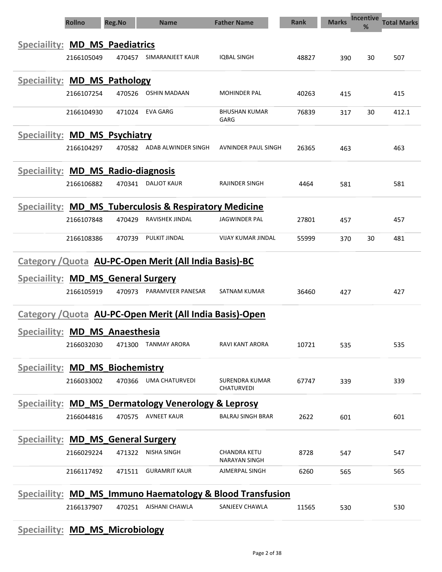| <b>Rollno</b>                                                  | <b>Reg.No</b> | <b>Name</b>                | <b>Father Name</b>                   | <b>Rank</b> | <b>Marks</b> | <b>Incentive</b><br>% | <b>Total Marks</b> |
|----------------------------------------------------------------|---------------|----------------------------|--------------------------------------|-------------|--------------|-----------------------|--------------------|
| Speciallity: MD_MS_Paediatrics                                 |               |                            |                                      |             |              |                       |                    |
| 2166105049                                                     | 470457        | SIMARANJEET KAUR           | <b>IQBAL SINGH</b>                   | 48827       | 390          | 30                    | 507                |
|                                                                |               |                            |                                      |             |              |                       |                    |
| Speciallity: MD_MS_Pathology                                   |               |                            |                                      |             |              |                       |                    |
| 2166107254                                                     | 470526        | OSHIN MADAAN               | <b>MOHINDER PAL</b>                  | 40263       | 415          |                       | 415                |
| 2166104930                                                     | 471024        | EVA GARG                   | <b>BHUSHAN KUMAR</b><br>GARG         | 76839       | 317          | 30                    | 412.1              |
| Speciallity: MD_MS_Psychiatry                                  |               |                            |                                      |             |              |                       |                    |
| 2166104297                                                     |               | 470582 ADAB ALWINDER SINGH | AVNINDER PAUL SINGH                  | 26365       | 463          |                       | 463                |
| Speciallity: MD MS Radio-diagnosis                             |               |                            |                                      |             |              |                       |                    |
| 2166106882                                                     | 470341        | DALJOT KAUR                | RAJINDER SINGH                       | 4464        | 581          |                       | 581                |
| Speciallity: MD_MS_Tuberculosis & Respiratory Medicine         |               |                            |                                      |             |              |                       |                    |
| 2166107848                                                     | 470429        | RAVISHEK JINDAL            | JAGWINDER PAL                        | 27801       | 457          |                       | 457                |
|                                                                |               |                            |                                      |             |              |                       |                    |
| 2166108386                                                     | 470739        | PULKIT JINDAL              | <b>VIJAY KUMAR JINDAL</b>            | 55999       | 370          | 30                    | 481                |
| Category / Quota AU-PC-Open Merit (All India Basis)-BC         |               |                            |                                      |             |              |                       |                    |
| Speciallity: MD_MS_General Surgery                             |               |                            |                                      |             |              |                       |                    |
| 2166105919                                                     | 470973        | PARAMVEER PANESAR          | SATNAM KUMAR                         | 36460       | 427          |                       | 427                |
| Category / Quota AU-PC-Open Merit (All India Basis)-Open       |               |                            |                                      |             |              |                       |                    |
| Speciaility: MD MS Anaesthesia                                 |               |                            |                                      |             |              |                       |                    |
| 2166032030                                                     | 471300        | <b>TANMAY ARORA</b>        | RAVI KANT ARORA                      | 10721       | 535          |                       | 535                |
| <b>Speciallity: MD_MS_Biochemistry</b>                         |               |                            |                                      |             |              |                       |                    |
| 2166033002                                                     | 470366        | <b>UMA CHATURVEDI</b>      | SURENDRA KUMAR                       | 67747       | 339          |                       | 339                |
|                                                                |               |                            | CHATURVEDI                           |             |              |                       |                    |
| <b>Speciallity: MD_MS_Dermatology Venerology &amp; Leprosy</b> |               | <b>AVNEET KAUR</b>         | <b>BALRAJ SINGH BRAR</b>             |             |              |                       |                    |
| 2166044816                                                     | 470575        |                            |                                      | 2622        | 601          |                       | 601                |
| <b>Speciallity: MD_MS_General Surgery</b>                      |               |                            |                                      |             |              |                       |                    |
| 2166029224                                                     | 471322        | <b>NISHA SINGH</b>         | CHANDRA KETU<br><b>NARAYAN SINGH</b> | 8728        | 547          |                       | 547                |
| 2166117492                                                     | 471511        | <b>GURAMRIT KAUR</b>       | AJMERPAL SINGH                       | 6260        | 565          |                       | 565                |
| Speciallity: MD_MS_Immuno Haematology & Blood Transfusion      |               |                            |                                      |             |              |                       |                    |
| 2166137907                                                     | 470251        | AISHANI CHAWLA             | SANJEEV CHAWLA                       | 11565       | 530          |                       | 530                |

## Speciaility: **MD\_MS\_Microbiology**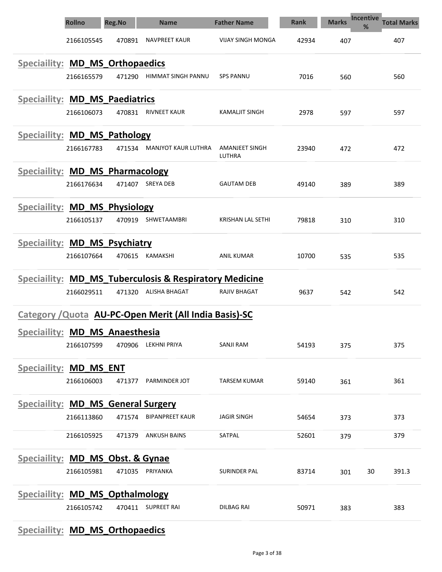|                                             | <b>Rollno</b> | <b>Reg.No</b> | <b>Name</b>                                            | <b>Father Name</b>       | <b>Rank</b> | <b>Marks</b> | <b>Incentive</b><br><b>Total Marks</b><br>% |
|---------------------------------------------|---------------|---------------|--------------------------------------------------------|--------------------------|-------------|--------------|---------------------------------------------|
|                                             | 2166105545    | 470891        | <b>NAVPREET KAUR</b>                                   | <b>VIJAY SINGH MONGA</b> | 42934       | 407          | 407                                         |
| Speciallity: MD_MS_Orthopaedics             |               |               |                                                        |                          |             |              |                                             |
|                                             | 2166165579    | 471290        | HIMMAT SINGH PANNU                                     | <b>SPS PANNU</b>         | 7016        | 560          | 560                                         |
| Speciallity: MD_MS_Paediatrics              |               |               |                                                        |                          |             |              |                                             |
|                                             | 2166106073    | 470831        | <b>RIVNEET KAUR</b>                                    | KAMALJIT SINGH           | 2978        | 597          | 597                                         |
| Speciallity: MD_MS_Pathology                |               |               |                                                        |                          |             |              |                                             |
|                                             | 2166167783    | 471534        | MANJYOT KAUR LUTHRA                                    | AMANJEET SINGH<br>LUTHRA | 23940       | 472          | 472                                         |
| Speciallity: MD MS Pharmacology             |               |               |                                                        |                          |             |              |                                             |
|                                             | 2166176634    | 471407        | SREYA DEB                                              | <b>GAUTAM DEB</b>        | 49140       | 389          | 389                                         |
| Speciallity: MD_MS_Physiology               |               |               |                                                        |                          |             |              |                                             |
|                                             | 2166105137    | 470919        | SHWETAAMBRI                                            | KRISHAN LAL SETHI        | 79818       | 310          | 310                                         |
| Speciallity: MD_MS_Psychiatry               |               |               |                                                        |                          |             |              |                                             |
|                                             | 2166107664    | 470615        | KAMAKSHI                                               | <b>ANIL KUMAR</b>        | 10700       | 535          | 535                                         |
|                                             |               |               | Speciallity: MD_MS_Tuberculosis & Respiratory Medicine |                          |             |              |                                             |
|                                             | 2166029511    | 471320        | ALISHA BHAGAT                                          | <b>RAJIV BHAGAT</b>      | 9637        | 542          | 542                                         |
|                                             |               |               | Category / Quota AU-PC-Open Merit (All India Basis)-SC |                          |             |              |                                             |
| Speciallity: MD_MS_Anaesthesia              |               |               |                                                        |                          |             |              |                                             |
|                                             | 2166107599    | 470906        | <b>LEKHNI PRIYA</b>                                    | <b>SANJI RAM</b>         | 54193       | 375          | 375                                         |
| <b>Speciallity: MD_MS_ENT</b>               |               |               |                                                        |                          |             |              |                                             |
|                                             | 2166106003    | 471377        | PARMINDER JOT                                          | <b>TARSEM KUMAR</b>      | 59140       | 361          | 361                                         |
| <b>Speciallity: MD_MS_General Surgery</b>   |               |               |                                                        |                          |             |              |                                             |
|                                             | 2166113860    | 471574        | <b>BIPANPREET KAUR</b>                                 | <b>JAGIR SINGH</b>       | 54654       | 373          | 373                                         |
|                                             | 2166105925    | 471379        | <b>ANKUSH BAINS</b>                                    | SATPAL                   | 52601       | 379          | 379                                         |
| <b>Speciallity: MD MS Obst. &amp; Gynae</b> |               |               |                                                        |                          |             |              |                                             |
|                                             | 2166105981    | 471035        | PRIYANKA                                               | SURINDER PAL             | 83714       | 301          | 30<br>391.3                                 |
| <b>Speciallity: MD MS Opthalmology</b>      |               |               |                                                        |                          |             |              |                                             |
|                                             | 2166105742    |               | 470411 SUPREET RAI                                     | <b>DILBAG RAI</b>        | 50971       | 383          | 383                                         |

# Speciaility: **MD\_MS\_Orthopaedics**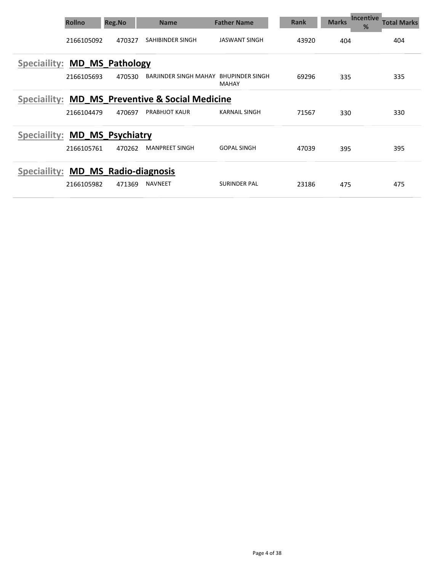|                                    | <b>Rollno</b> | <b>Reg.No</b> | <b>Name</b>                                     | <b>Father Name</b>              | <b>Rank</b> | <b>Marks</b> | <b>Incentive</b><br>Total Marks<br>% |
|------------------------------------|---------------|---------------|-------------------------------------------------|---------------------------------|-------------|--------------|--------------------------------------|
|                                    | 2166105092    | 470327        | SAHIBINDER SINGH                                | <b>JASWANT SINGH</b>            | 43920       | 404          | 404                                  |
| Speciallity: MD MS Pathology       |               |               |                                                 |                                 |             |              |                                      |
|                                    | 2166105693    | 470530        | BARJINDER SINGH MAHAY                           | BHUPINDER SINGH<br><b>MAHAY</b> | 69296       | 335          | 335                                  |
|                                    |               |               | Speciallity: MD MS Preventive & Social Medicine |                                 |             |              |                                      |
|                                    | 2166104479    | 470697        | <b>PRABHJOT KAUR</b>                            | <b>KARNAIL SINGH</b>            | 71567       | 330          | 330                                  |
| Speciallity: MD MS Psychiatry      |               |               |                                                 |                                 |             |              |                                      |
|                                    | 2166105761    | 470262        | <b>MANPREET SINGH</b>                           | <b>GOPAL SINGH</b>              | 47039       | 395          | 395                                  |
| Speciallity: MD MS Radio-diagnosis |               |               |                                                 |                                 |             |              |                                      |
|                                    | 2166105982    | 471369        | <b>NAVNEET</b>                                  | <b>SURINDER PAL</b>             | 23186       | 475          | 475                                  |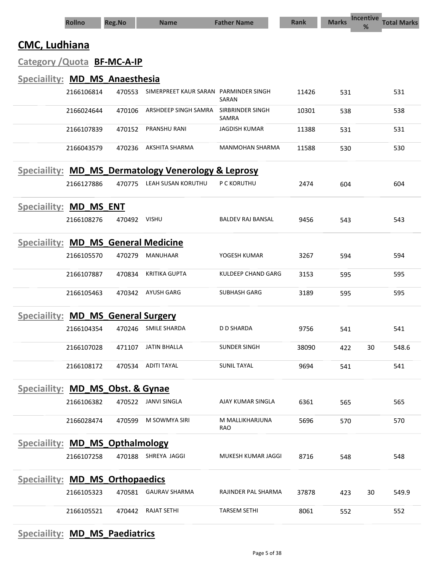|                                             | <b>Rollno</b>    | <b>Reg.No</b>                | <b>Name</b>                                         | <b>Father Name</b>        | <b>Rank</b> | <b>Marks</b> | <b>Incentive</b><br>% | <b>Total Marks</b> |
|---------------------------------------------|------------------|------------------------------|-----------------------------------------------------|---------------------------|-------------|--------------|-----------------------|--------------------|
| <b>CMC, Ludhiana</b>                        |                  |                              |                                                     |                           |             |              |                       |                    |
| Category / Quota BF-MC-A-IP                 |                  |                              |                                                     |                           |             |              |                       |                    |
| Speciaility: MD_MS_Anaesthesia              |                  |                              |                                                     |                           |             |              |                       |                    |
|                                             | 2166106814       | 470553                       | SIMERPREET KAUR SARAN PARMINDER SINGH               | SARAN                     | 11426       | 531          |                       | 531                |
|                                             | 2166024644       | 470106                       | ARSHDEEP SINGH SAMRA                                | SIRBRINDER SINGH<br>SAMRA | 10301       | 538          |                       | 538                |
|                                             | 2166107839       | 470152                       | PRANSHU RANI                                        | <b>JAGDISH KUMAR</b>      | 11388       | 531          |                       | 531                |
|                                             | 2166043579       | 470236                       | AKSHITA SHARMA                                      | <b>MANMOHAN SHARMA</b>    | 11588       | 530          |                       | 530                |
|                                             |                  |                              | Speciallity: MD_MS_Dermatology Venerology & Leprosy |                           |             |              |                       |                    |
|                                             | 2166127886       | 470775                       | LEAH SUSAN KORUTHU                                  | P C KORUTHU               | 2474        | 604          |                       | 604                |
| <b>Speciaility:</b>                         | <b>MD MS ENT</b> |                              |                                                     |                           |             |              |                       |                    |
|                                             | 2166108276       | 470492                       | <b>VISHU</b>                                        | <b>BALDEV RAJ BANSAL</b>  | 9456        | 543          |                       | 543                |
| Speciallity: MD_MS_General Medicine         |                  |                              |                                                     |                           |             |              |                       |                    |
|                                             | 2166105570       | 470279                       | <b>MANUHAAR</b>                                     | YOGESH KUMAR              | 3267        | 594          |                       | 594                |
|                                             | 2166107887       | 470834                       | <b>KRITIKA GUPTA</b>                                | KULDEEP CHAND GARG        | 3153        | 595          |                       | 595                |
|                                             | 2166105463       | 470342                       | <b>AYUSH GARG</b>                                   | <b>SUBHASH GARG</b>       | 3189        | 595          |                       | 595                |
| <b>Speciaility:</b>                         |                  | <b>MD_MS_General Surgery</b> |                                                     |                           |             |              |                       |                    |
|                                             | 2166104354       | 470246                       | <b>SMILE SHARDA</b>                                 | <b>D D SHARDA</b>         | 9756        | 541          |                       | 541                |
|                                             | 2166107028       | 471107                       | <b>JATIN BHALLA</b>                                 | <b>SUNDER SINGH</b>       | 38090       | 422          | 30                    | 548.6              |
|                                             | 2166108172       |                              | 470534 ADITI TAYAL                                  | <b>SUNIL TAYAL</b>        | 9694        | 541          |                       | 541                |
| <b>Speciallity: MD_MS_Obst. &amp; Gynae</b> |                  |                              |                                                     |                           |             |              |                       |                    |
|                                             | 2166106382       | 470522                       | <b>JANVI SINGLA</b>                                 | AJAY KUMAR SINGLA         | 6361        | 565          |                       | 565                |
|                                             | 2166028474       | 470599                       | M SOWMYA SIRI                                       | M MALLIKHARJUNA<br>RAO    | 5696        | 570          |                       | 570                |
| Speciallity: MD_MS_Opthalmology             |                  |                              |                                                     |                           |             |              |                       |                    |
|                                             | 2166107258       |                              | 470188 SHREYA JAGGI                                 | MUKESH KUMAR JAGGI        | 8716        | 548          |                       | 548                |
| <b>Speciallity: MD_MS_Orthopaedics</b>      |                  |                              |                                                     |                           |             |              |                       |                    |
|                                             | 2166105323       | 470581                       | <b>GAURAV SHARMA</b>                                | RAJINDER PAL SHARMA       | 37878       | 423          | 30                    | 549.9              |
|                                             | 2166105521       | 470442                       | <b>RAJAT SETHI</b>                                  | <b>TARSEM SETHI</b>       | 8061        | 552          |                       | 552                |

# Speciaility: MD\_MS\_Paediatrics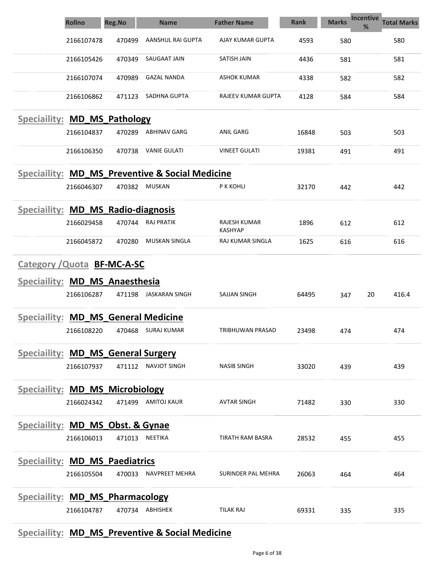|                                           | <b>Rollno</b> | <b>Reg.No</b> | <b>Name</b>                                     | <b>Father Name</b>             | <b>Rank</b> | Incentive<br><b>Marks</b><br>% | <b>Total Marks</b> |
|-------------------------------------------|---------------|---------------|-------------------------------------------------|--------------------------------|-------------|--------------------------------|--------------------|
|                                           | 2166107478    | 470499        | AANSHUL RAI GUPTA                               | AJAY KUMAR GUPTA               | 4593        | 580                            | 580                |
|                                           | 2166105426    | 470349        | <b>SAUGAAT JAIN</b>                             | SATISH JAIN                    | 4436        | 581                            | 581                |
|                                           | 2166107074    | 470989        | <b>GAZAL NANDA</b>                              | <b>ASHOK KUMAR</b>             | 4338        | 582                            | 582                |
|                                           | 2166106862    | 471123        | SADHNA GUPTA                                    | RAJEEV KUMAR GUPTA             | 4128        | 584                            | 584                |
| Speciallity: MD_MS_Pathology              |               |               |                                                 |                                |             |                                |                    |
|                                           | 2166104837    | 470289        | ABHINAV GARG                                    | ANIL GARG                      | 16848       | 503                            | 503                |
|                                           | 2166106350    | 470738        | <b>VANIE GULATI</b>                             | <b>VINEET GULATI</b>           | 19381       | 491                            | 491                |
|                                           |               |               | Speciallity: MD MS Preventive & Social Medicine |                                |             |                                |                    |
|                                           | 2166046307    | 470382        | <b>MUSKAN</b>                                   | P K KOHLI                      | 32170       | 442                            | 442                |
| Speciallity: MD_MS_Radio-diagnosis        |               |               |                                                 |                                |             |                                |                    |
|                                           | 2166029458    | 470744        | RAJ PRATIK                                      | RAJESH KUMAR<br><b>KASHYAP</b> | 1896        | 612                            | 612                |
|                                           | 2166045872    | 470280        | MUSKAN SINGLA                                   | RAJ KUMAR SINGLA               | 1625        | 616                            | 616                |
| Category / Quota BF-MC-A-SC               |               |               |                                                 |                                |             |                                |                    |
| Speciallity: MD_MS_Anaesthesia            |               |               |                                                 |                                |             |                                |                    |
|                                           | 2166106287    | 471198        | JASKARAN SINGH                                  | SAJJAN SINGH                   | 64495       | 347                            | 20<br>416.4        |
| Speciallity: MD_MS_General Medicine       |               |               |                                                 |                                |             |                                |                    |
|                                           | 2166108220    | 470468        | SURAJ KUMAR                                     | TRIBHUWAN PRASAD               | 23498       | 474                            | 474                |
| <b>Speciallity: MD_MS_General Surgery</b> |               |               |                                                 |                                |             |                                |                    |
|                                           | 2166107937    | 471112        | <b>NAVJOT SINGH</b>                             | <b>NASIB SINGH</b>             | 33020       | 439                            | 439                |
| <b>Speciallity: MD_MS_Microbiology</b>    |               |               |                                                 |                                |             |                                |                    |
|                                           | 2166024342    | 471499        | <b>AMITOJ KAUR</b>                              | <b>AVTAR SINGH</b>             | 71482       | 330                            | 330                |
| Speciallity: MD_MS_Obst. & Gynae          |               |               |                                                 |                                |             |                                |                    |
|                                           | 2166106013    | 471013        | NEETIKA                                         | TIRATH RAM BASRA               | 28532       | 455                            | 455                |
| <b>Speciallity: MD_MS_Paediatrics</b>     |               |               |                                                 |                                |             |                                |                    |
|                                           | 2166105504    | 470033        | NAVPREET MEHRA                                  | SURINDER PAL MEHRA             | 26063       | 464                            | 464                |
| <b>Speciallity: MD_MS_Pharmacology</b>    |               |               |                                                 |                                |             |                                |                    |
|                                           | 2166104787    |               | 470734 ABHISHEK                                 | <b>TILAK RAJ</b>               | 69331       | 335                            | 335                |

## Speciaility: MD\_MS\_Preventive & Social Medicine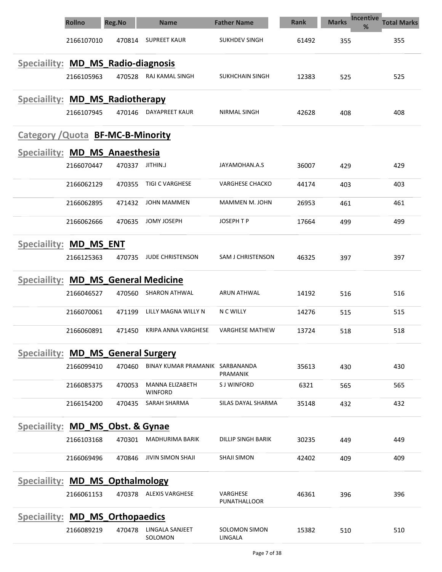|                                          | <b>Rollno</b>    | <b>Reg.No</b> | <b>Name</b>                       | <b>Father Name</b>              | Rank  | <b>Marks</b> | <b>Incentive</b><br><b>Total Marks</b><br>% |
|------------------------------------------|------------------|---------------|-----------------------------------|---------------------------------|-------|--------------|---------------------------------------------|
|                                          | 2166107010       | 470814        | <b>SUPREET KAUR</b>               | <b>SUKHDEV SINGH</b>            | 61492 | 355          | 355                                         |
| Speciallity: MD_MS_Radio-diagnosis       |                  |               |                                   |                                 |       |              |                                             |
|                                          | 2166105963       | 470528        | RAJ KAMAL SINGH                   | SUKHCHAIN SINGH                 | 12383 | 525          | 525                                         |
| Speciallity: MD_MS_Radiotherapy          |                  |               |                                   |                                 |       |              |                                             |
|                                          | 2166107945       | 470146        | DAYAPREET KAUR                    | <b>NIRMAL SINGH</b>             | 42628 | 408          | 408                                         |
| <b>Category / Quota BF-MC-B-Minority</b> |                  |               |                                   |                                 |       |              |                                             |
| Speciallity: MD_MS_Anaesthesia           |                  |               |                                   |                                 |       |              |                                             |
|                                          | 2166070447       | 470337        | JITHIN.J                          | JAYAMOHAN.A.S                   | 36007 | 429          | 429                                         |
|                                          | 2166062129       | 470355        | <b>TIGI C VARGHESE</b>            | <b>VARGHESE CHACKO</b>          | 44174 | 403          | 403                                         |
|                                          | 2166062895       | 471432        | <b>JOHN MAMMEN</b>                | MAMMEN M. JOHN                  | 26953 | 461          | 461                                         |
|                                          | 2166062666       | 470635        | <b>JOMY JOSEPH</b>                | <b>JOSEPH T P</b>               | 17664 | 499          | 499                                         |
| Speciaility:                             | <b>MD MS ENT</b> |               |                                   |                                 |       |              |                                             |
|                                          | 2166125363       | 470735        | <b>JUDE CHRISTENSON</b>           | SAM J CHRISTENSON               | 46325 | 397          | 397                                         |
| Speciallity: MD_MS_General Medicine      |                  |               |                                   |                                 |       |              |                                             |
|                                          | 2166046527       | 470560        | <b>SHARON ATHWAL</b>              | <b>ARUN ATHWAL</b>              | 14192 | 516          | 516                                         |
|                                          | 2166070061       | 471199        | LILLY MAGNA WILLY N               | N C WILLY                       | 14276 | 515          | 515                                         |
|                                          | 2166060891       | 471450        | <b>KRIPA ANNA VARGHESE</b>        | <b>VARGHESE MATHEW</b>          | 13724 | 518          | 518                                         |
| Speciallity: MD MS General Surgery       |                  |               |                                   |                                 |       |              |                                             |
|                                          | 2166099410       | 470460        | BINAY KUMAR PRAMANIK SARBANANDA   | PRAMANIK                        | 35613 | 430          | 430                                         |
|                                          | 2166085375       | 470053        | MANNA ELIZABETH<br><b>WINFORD</b> | <b>SJ WINFORD</b>               | 6321  | 565          | 565                                         |
|                                          | 2166154200       | 470435        | SARAH SHARMA                      | SILAS DAYAL SHARMA              | 35148 | 432          | 432                                         |
| Speciallity: MD_MS_Obst. & Gynae         |                  |               |                                   |                                 |       |              |                                             |
|                                          | 2166103168       | 470301        | MADHURIMA BARIK                   | DILLIP SINGH BARIK              | 30235 | 449          | 449                                         |
|                                          | 2166069496       | 470846        | <b>JIVIN SIMON SHAJI</b>          | <b>SHAJI SIMON</b>              | 42402 | 409          | 409                                         |
| <b>Speciallity: MD MS Opthalmology</b>   |                  |               |                                   |                                 |       |              |                                             |
|                                          | 2166061153       |               | 470378 ALEXIS VARGHESE            | VARGHESE<br>PUNATHALLOOR        | 46361 | 396          | 396                                         |
| <b>Speciallity: MD_MS_Orthopaedics</b>   |                  |               |                                   |                                 |       |              |                                             |
|                                          | 2166089219       | 470478        | LINGALA SANJEET<br>SOLOMON        | <b>SOLOMON SIMON</b><br>LINGALA | 15382 | 510          | 510                                         |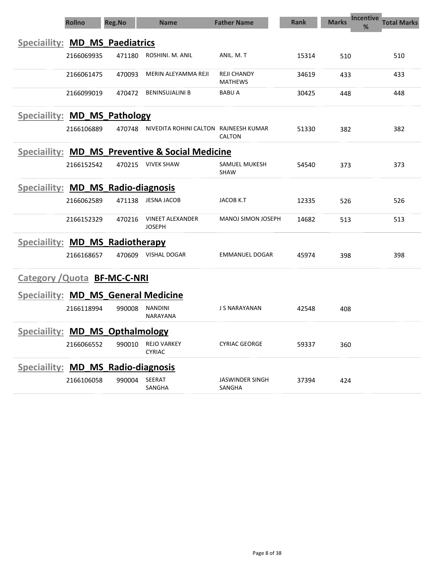|                                           | <b>Rollno</b> | <b>Reg.No</b> | <b>Name</b>                                     | <b>Father Name</b>                   | <b>Rank</b> | <b>Incentive</b><br><b>Marks</b><br>% | <b>Total Marks</b> |
|-------------------------------------------|---------------|---------------|-------------------------------------------------|--------------------------------------|-------------|---------------------------------------|--------------------|
| <b>Speciallity: MD MS Paediatrics</b>     |               |               |                                                 |                                      |             |                                       |                    |
|                                           | 2166069935    | 471180        | ROSHINI, M. ANIL                                | ANIL. M. T                           | 15314       | 510                                   | 510                |
|                                           | 2166061475    | 470093        | MERIN ALEYAMMA REJI                             | <b>REJI CHANDY</b><br><b>MATHEWS</b> | 34619       | 433                                   | 433                |
|                                           | 2166099019    | 470472        | <b>BENINSUJALINI B</b>                          | <b>BABU A</b>                        | 30425       | 448                                   | 448                |
| Speciallity: MD_MS_Pathology              |               |               |                                                 |                                      |             |                                       |                    |
|                                           | 2166106889    | 470748        | NIVEDITA ROHINI CALTON RAJNEESH KUMAR           | <b>CALTON</b>                        | 51330       | 382                                   | 382                |
|                                           |               |               | Speciallity: MD_MS_Preventive & Social Medicine |                                      |             |                                       |                    |
|                                           | 2166152542    | 470215        | VIVEK SHAW                                      | SAMUEL MUKESH<br><b>SHAW</b>         | 54540       | 373                                   | 373                |
| Speciallity: MD MS Radio-diagnosis        |               |               |                                                 |                                      |             |                                       |                    |
|                                           | 2166062589    | 471138        | JESNA JACOB                                     | JACOB K.T                            | 12335       | 526                                   | 526                |
|                                           | 2166152329    | 470216        | <b>VINEET ALEXANDER</b><br><b>JOSEPH</b>        | <b>MANOJ SIMON JOSEPH</b>            | 14682       | 513                                   | 513                |
| Speciallity: MD_MS_Radiotherapy           |               |               |                                                 |                                      |             |                                       |                    |
|                                           | 2166168657    | 470609        | VISHAL DOGAR                                    | EMMANUEL DOGAR                       | 45974       | 398                                   | 398                |
| <b>Category / Quota BF-MC-C-NRI</b>       |               |               |                                                 |                                      |             |                                       |                    |
| Speciallity: MD_MS_General Medicine       |               |               |                                                 |                                      |             |                                       |                    |
|                                           | 2166118994    | 990008        | <b>NANDINI</b><br>NARAYANA                      | J S NARAYANAN                        | 42548       | 408                                   |                    |
| Speciallity: MD_MS_Opthalmology           |               |               |                                                 |                                      |             |                                       |                    |
|                                           | 2166066552    | 990010        | <b>REJO VARKEY</b><br><b>CYRIAC</b>             | <b>CYRIAC GEORGE</b>                 | 59337       | 360                                   |                    |
| <b>Speciallity: MD MS Radio-diagnosis</b> |               |               |                                                 |                                      |             |                                       |                    |
|                                           | 2166106058    | 990004        | SEERAT<br>SANGHA                                | <b>JASWINDER SINGH</b><br>SANGHA     | 37394       | 424                                   |                    |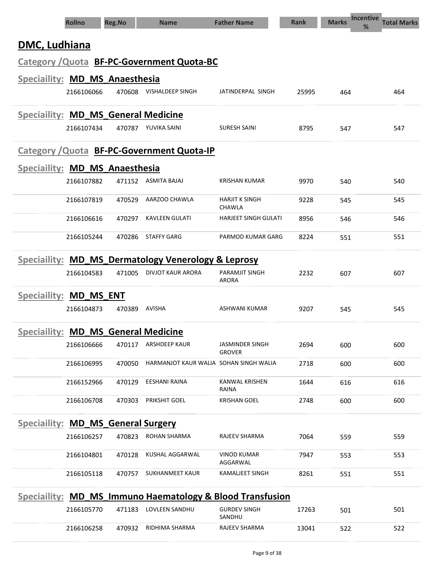|                                            | <b>Rollno</b> | <b>Reg.No</b> | <b>Name</b>                                               | <b>Father Name</b>                      | <b>Rank</b> | <b>Marks</b> | <b>Incentive</b><br><b>Total Marks</b><br>% |
|--------------------------------------------|---------------|---------------|-----------------------------------------------------------|-----------------------------------------|-------------|--------------|---------------------------------------------|
| DMC, Ludhiana                              |               |               |                                                           |                                         |             |              |                                             |
|                                            |               |               | Category / Quota BF-PC-Government Quota-BC                |                                         |             |              |                                             |
| Speciallity: MD_MS_Anaesthesia             |               |               |                                                           |                                         |             |              |                                             |
|                                            | 2166106066    | 470608        | VISHALDEEP SINGH                                          | JATINDERPAL SINGH                       | 25995       | 464          | 464                                         |
| <b>Speciallity: MD MS General Medicine</b> |               |               |                                                           |                                         |             |              |                                             |
|                                            | 2166107434    |               | 470787 YUVIKA SAINI                                       | <b>SURESH SAINI</b>                     | 8795        | 547          | 547                                         |
|                                            |               |               | Category / Quota BF-PC-Government Quota-IP                |                                         |             |              |                                             |
| Speciallity: MD MS Anaesthesia             |               |               |                                                           |                                         |             |              |                                             |
|                                            | 2166107882    | 471152        | ASMITA BAJAJ                                              | <b>KRISHAN KUMAR</b>                    | 9970        | 540          | 540                                         |
|                                            | 2166107819    | 470529        | AARZOO CHAWLA                                             | <b>HARJIT K SINGH</b><br><b>CHAWLA</b>  | 9228        | 545          | 545                                         |
|                                            | 2166106616    | 470297        | <b>KAVLEEN GULATI</b>                                     | <b>HARJEET SINGH GULATI</b>             | 8956        | 546          | 546                                         |
|                                            | 2166105244    | 470286        | <b>STAFFY GARG</b>                                        | PARMOD KUMAR GARG                       | 8224        | 551          | 551                                         |
|                                            |               |               | Speciallity: MD_MS_Dermatology Venerology & Leprosy       |                                         |             |              |                                             |
|                                            | 2166104583    | 471005        | DIVJOT KAUR ARORA                                         | <b>PARAMJIT SINGH</b><br>ARORA          | 2232        | 607          | 607                                         |
| Speciallity: MD_MS ENT                     |               |               |                                                           |                                         |             |              |                                             |
|                                            | 2166104873    | 470389        | AVISHA                                                    | ASHWANI KUMAR                           | 9207        | 545          | 545                                         |
| <b>Speciallity: MD MS General Medicine</b> |               |               |                                                           |                                         |             |              |                                             |
|                                            | 2166106666    | 470117        | <b>ARSHDEEP KAUR</b>                                      | <b>JASMINDER SINGH</b><br><b>GROVER</b> | 2694        | 600          | 600                                         |
|                                            | 2166106995    | 470050        | HARMANJOT KAUR WALIA SOHAN SINGH WALIA                    |                                         | 2718        | 600          | 600                                         |
|                                            | 2166152966    | 470129        | EESHANI RAINA                                             | KANWAL KRISHEN<br>RAINA                 | 1644        | 616          | 616                                         |
|                                            | 2166106708    | 470303        | PRIKSHIT GOEL                                             | <b>KRISHAN GOEL</b>                     | 2748        | 600          | 600                                         |
| Speciallity: MD_MS_General Surgery         |               |               |                                                           |                                         |             |              |                                             |
|                                            | 2166106257    | 470823        | <b>ROHAN SHARMA</b>                                       | RAJEEV SHARMA                           | 7064        | 559          | 559                                         |
|                                            | 2166104801    | 470128        | KUSHAL AGGARWAL                                           | <b>VINOD KUMAR</b><br>AGGARWAL          | 7947        | 553          | 553                                         |
|                                            | 2166105118    | 470757        | <b>SUKHANMEET KAUR</b>                                    | <b>KAMALJEET SINGH</b>                  | 8261        | 551          | 551                                         |
|                                            |               |               | Speciallity: MD_MS_Immuno Haematology & Blood Transfusion |                                         |             |              |                                             |
|                                            | 2166105770    | 471183        | LOVLEEN SANDHU                                            | <b>GURDEV SINGH</b><br>SANDHU           | 17263       | 501          | 501                                         |
|                                            | 2166106258    | 470932        | RIDHIMA SHARMA                                            | RAJEEV SHARMA                           | 13041       | 522          | 522                                         |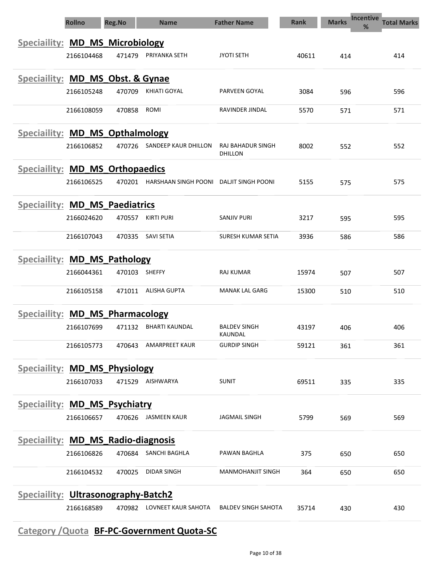|                                           | <b>Rollno</b> | <b>Reg.No</b> | <b>Name</b>           | <b>Father Name</b>             | <b>Rank</b> | <b>Marks</b> | <b>Incentive</b><br><b>Total Marks</b><br>% |
|-------------------------------------------|---------------|---------------|-----------------------|--------------------------------|-------------|--------------|---------------------------------------------|
| <b>Speciallity: MD_MS_Microbiology</b>    |               |               |                       |                                |             |              |                                             |
|                                           | 2166104468    | 471479        | PRIYANKA SETH         | <b>JYOTI SETH</b>              | 40611       | 414          | 414                                         |
| Speciallity: MD_MS_Obst. & Gynae          |               |               |                       |                                |             |              |                                             |
|                                           | 2166105248    | 470709        | KHIATI GOYAL          | PARVEEN GOYAL                  | 3084        | 596          | 596                                         |
|                                           | 2166108059    | 470858        | ROMI                  | RAVINDER JINDAL                | 5570        | 571          | 571                                         |
| Speciallity: MD_MS_Opthalmology           |               |               |                       |                                |             |              |                                             |
|                                           | 2166106852    | 470726        | SANDEEP KAUR DHILLON  | RAJ BAHADUR SINGH<br>DHILLON   | 8002        | 552          | 552                                         |
| <b>Speciallity: MD MS Orthopaedics</b>    |               |               |                       |                                |             |              |                                             |
|                                           | 2166106525    | 470201        | HARSHAAN SINGH POONI  | DALJIT SINGH POONI             | 5155        | 575          | 575                                         |
| <b>Speciallity: MD_MS_Paediatrics</b>     |               |               |                       |                                |             |              |                                             |
|                                           | 2166024620    | 470557        | <b>KIRTI PURI</b>     | SANJIV PURI                    | 3217        | 595          | 595                                         |
|                                           | 2166107043    | 470335        | <b>SAVI SETIA</b>     | SURESH KUMAR SETIA             | 3936        | 586          | 586                                         |
| Speciallity: MD_MS_Pathology              |               |               |                       |                                |             |              |                                             |
|                                           | 2166044361    | 470103        | <b>SHEFFY</b>         | RAJ KUMAR                      | 15974       | 507          | 507                                         |
|                                           | 2166105158    | 471011        | <b>ALISHA GUPTA</b>   | <b>MANAK LAL GARG</b>          | 15300       | 510          | 510                                         |
| Speciallity: MD MS Pharmacology           |               |               |                       |                                |             |              |                                             |
|                                           | 2166107699    | 471132        | <b>BHARTI KAUNDAL</b> | <b>BALDEV SINGH</b><br>KAUNDAL | 43197       | 406          | 406                                         |
|                                           | 2166105773    | 470643        | <b>AMARPREET KAUR</b> | <b>GURDIP SINGH</b>            | 59121       | 361          | 361                                         |
| <b>Speciallity: MD_MS_Physiology</b>      |               |               |                       |                                |             |              |                                             |
|                                           | 2166107033    | 471529        | AISHWARYA             | <b>SUNIT</b>                   | 69511       | 335          | 335                                         |
| Speciallity: MD MS Psychiatry             |               |               |                       |                                |             |              |                                             |
|                                           | 2166106657    |               | 470626 JASMEEN KAUR   | <b>JAGMAIL SINGH</b>           | 5799        | 569          | 569                                         |
| <b>Speciallity: MD MS Radio-diagnosis</b> |               |               |                       |                                |             |              |                                             |
|                                           | 2166106826    | 470684        | SANCHI BAGHLA         | PAWAN BAGHLA                   | 375         | 650          | 650                                         |
|                                           | 2166104532    | 470025        | <b>DIDAR SINGH</b>    | <b>MANMOHANJIT SINGH</b>       | 364         | 650          | 650                                         |
| Speciallity: Ultrasonography-Batch2       |               |               |                       |                                |             |              |                                             |
|                                           | 2166168589    | 470982        | LOVNEET KAUR SAHOTA   | <b>BALDEV SINGH SAHOTA</b>     | 35714       | 430          | 430                                         |

## Category /Quota BF-PC-Government Quota-SC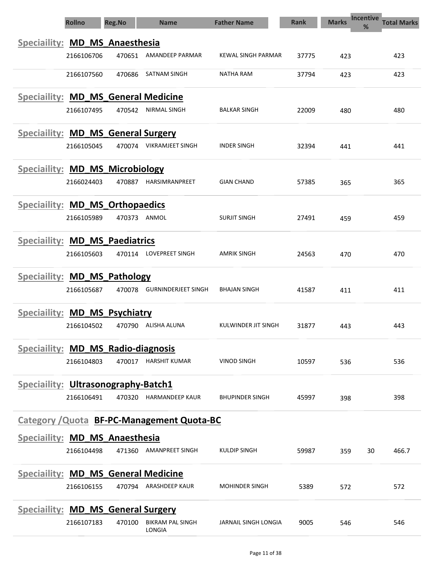|                                            | <b>Rollno</b> | <b>Reg.No</b> | <b>Name</b>                                | <b>Father Name</b>          | <b>Rank</b> | <b>Marks</b> | <b>Incentive</b><br><b>Total Marks</b><br>% |
|--------------------------------------------|---------------|---------------|--------------------------------------------|-----------------------------|-------------|--------------|---------------------------------------------|
| Speciallity: MD_MS_Anaesthesia             |               |               |                                            |                             |             |              |                                             |
|                                            | 2166106706    | 470651        | AMANDEEP PARMAR                            | KEWAL SINGH PARMAR          | 37775       | 423          | 423                                         |
|                                            | 2166107560    | 470686        | SATNAM SINGH                               | <b>NATHA RAM</b>            | 37794       | 423          | 423                                         |
| <b>Speciaility:</b>                        |               |               | <b>MD_MS_General Medicine</b>              |                             |             |              |                                             |
|                                            | 2166107495    | 470542        | NIRMAL SINGH                               | <b>BALKAR SINGH</b>         | 22009       | 480          | 480                                         |
| Speciallity: MD_MS_General Surgery         |               |               |                                            |                             |             |              |                                             |
|                                            | 2166105045    | 470074        | <b>VIKRAMJEET SINGH</b>                    | <b>INDER SINGH</b>          | 32394       | 441          | 441                                         |
| <b>Speciallity: MD MS Microbiology</b>     |               |               |                                            |                             |             |              |                                             |
|                                            | 2166024403    | 470887        | HARSIMRANPREET                             | <b>GIAN CHAND</b>           | 57385       | 365          | 365                                         |
| Speciallity: MD_MS_Orthopaedics            |               |               |                                            |                             |             |              |                                             |
|                                            | 2166105989    |               | 470373 ANMOL                               | <b>SURJIT SINGH</b>         | 27491       | 459          | 459                                         |
| <b>Speciallity: MD MS Paediatrics</b>      |               |               |                                            |                             |             |              |                                             |
|                                            | 2166105603    | 470114        | LOVEPREET SINGH                            | AMRIK SINGH                 | 24563       | 470          | 470                                         |
| Speciallity: MD_MS_Pathology               |               |               |                                            |                             |             |              |                                             |
|                                            | 2166105687    | 470078        | <b>GURNINDERJEET SINGH</b>                 | <b>BHAJAN SINGH</b>         | 41587       | 411          | 411                                         |
| Speciallity: MD_MS_Psychiatry              |               |               |                                            |                             |             |              |                                             |
|                                            | 2166104502    | 470790        | ALISHA ALUNA                               | KULWINDER JIT SINGH         | 31877       | 443          | 443                                         |
| Speciallity: MD_MS_Radio-diagnosis         |               |               |                                            |                             |             |              |                                             |
|                                            | 2166104803    |               | 470017 HARSHIT KUMAR                       | VINOD SINGH                 | 10597       | 536          | 536                                         |
| <b>Speciallity: Ultrasonography-Batch1</b> |               |               |                                            |                             |             |              |                                             |
|                                            | 2166106491    | 470320        | <b>HARMANDEEP KAUR</b>                     | <b>BHUPINDER SINGH</b>      | 45997       | 398          | 398                                         |
|                                            |               |               | Category / Quota BF-PC-Management Quota-BC |                             |             |              |                                             |
| Speciallity: MD_MS_Anaesthesia             |               |               |                                            |                             |             |              |                                             |
|                                            | 2166104498    |               | 471360 AMANPREET SINGH                     | KULDIP SINGH                | 59987       | 359          | 466.7<br>30                                 |
| <b>Speciallity: MD_MS_General Medicine</b> |               |               |                                            |                             |             |              |                                             |
|                                            | 2166106155    | 470794        | ARASHDEEP KAUR                             | <b>MOHINDER SINGH</b>       | 5389        | 572          | 572                                         |
| <b>Speciallity: MD_MS_General Surgery</b>  |               |               |                                            |                             |             |              |                                             |
|                                            | 2166107183    | 470100        | <b>BIKRAM PAL SINGH</b><br>LONGIA          | <b>JARNAIL SINGH LONGIA</b> | 9005        | 546          | 546                                         |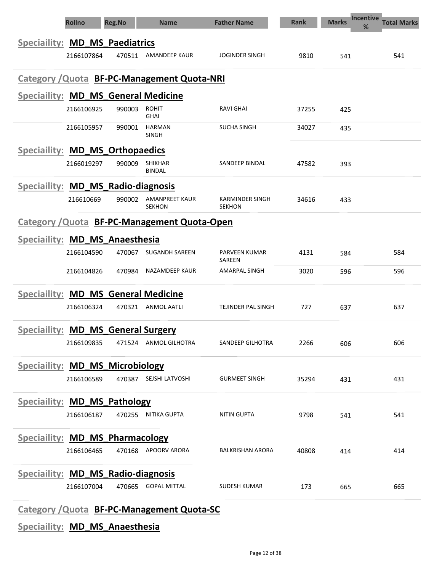| <b>Rollno</b>                                      | <b>Reg.No</b> | <b>Name</b>                     | <b>Father Name</b>               | <b>Rank</b> | <b>Incentive</b><br><b>Marks</b><br>℅ | <b>Total Marks</b> |
|----------------------------------------------------|---------------|---------------------------------|----------------------------------|-------------|---------------------------------------|--------------------|
| Speciallity: MD_MS_Paediatrics                     |               |                                 |                                  |             |                                       |                    |
| 2166107864                                         |               | 470511 AMANDEEP KAUR            | <b>JOGINDER SINGH</b>            | 9810        | 541                                   | 541                |
| <b>Category / Quota BF-PC-Management Quota-NRI</b> |               |                                 |                                  |             |                                       |                    |
| Speciallity: MD_MS_General Medicine                |               |                                 |                                  |             |                                       |                    |
| 2166106925                                         | 990003        | <b>ROHIT</b><br><b>GHAI</b>     | <b>RAVI GHAI</b>                 | 37255       | 425                                   |                    |
| 2166105957                                         | 990001        | <b>HARMAN</b><br><b>SINGH</b>   | <b>SUCHA SINGH</b>               | 34027       | 435                                   |                    |
| Speciallity: MD_MS_Orthopaedics                    |               |                                 |                                  |             |                                       |                    |
| 2166019297                                         | 990009        | <b>SHIKHAR</b><br><b>BINDAL</b> | SANDEEP BINDAL                   | 47582       | 393                                   |                    |
| Speciallity: MD MS Radio-diagnosis                 |               |                                 |                                  |             |                                       |                    |
| 216610669                                          | 990002        | AMANPREET KAUR<br><b>SEKHON</b> | KARMINDER SINGH<br><b>SEKHON</b> | 34616       | 433                                   |                    |
| Category / Quota BF-PC-Management Quota-Open       |               |                                 |                                  |             |                                       |                    |
| Speciallity: MD_MS_Anaesthesia                     |               |                                 |                                  |             |                                       |                    |
| 2166104590                                         | 470067        | <b>SUGANDH SAREEN</b>           | PARVEEN KUMAR<br>SAREEN          | 4131        | 584                                   | 584                |
| 2166104826                                         | 470984        | NAZAMDEEP KAUR                  | <b>AMARPAL SINGH</b>             | 3020        | 596                                   | 596                |
| <b>Speciallity: MD MS General Medicine</b>         |               |                                 |                                  |             |                                       |                    |
| 2166106324                                         | 470321        | ANMOL AATLI                     | TEJINDER PAL SINGH               | 727         | 637                                   | 637                |
| <b>Speciallity: MD MS General Surgery</b>          |               |                                 |                                  |             |                                       |                    |
| 2166109835                                         | 471524        | <b>ANMOL GILHOTRA</b>           | SANDEEP GILHOTRA                 | 2266        | 606                                   | 606                |
| <b>Speciallity: MD_MS_Microbiology</b>             |               |                                 |                                  |             |                                       |                    |
| 2166106589                                         |               | 470387 SEJSHI LATVOSHI          | <b>GURMEET SINGH</b>             | 35294       | 431                                   | 431                |
| <b>Speciallity: MD_MS_Pathology</b>                |               |                                 |                                  |             |                                       |                    |
| 2166106187                                         | 470255        | NITIKA GUPTA                    | NITIN GUPTA                      | 9798        | 541                                   | 541                |
| <b>Speciallity: MD_MS_Pharmacology</b>             |               |                                 |                                  |             |                                       |                    |
| 2166106465                                         | 470168        | APOORV ARORA                    | <b>BALKRISHAN ARORA</b>          | 40808       | 414                                   | 414                |
| Speciallity: MD MS Radio-diagnosis                 |               |                                 |                                  |             |                                       |                    |
| 2166107004                                         | 470665        | <b>GOPAL MITTAL</b>             | <b>SUDESH KUMAR</b>              | 173         | 665                                   | 665                |
|                                                    |               |                                 |                                  |             |                                       |                    |

Category /Quota BF-PC-Management Quota-SC

Speciaility: MD\_MS\_Anaesthesia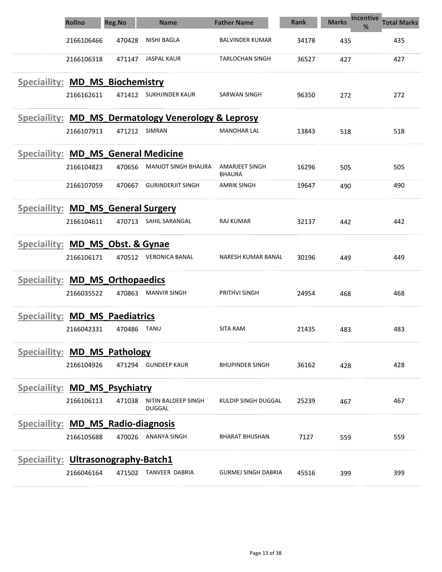|                                            | <b>Rollno</b> | <b>Reg.No</b> | <b>Name</b>                                                    | <b>Father Name</b>              | <b>Rank</b> | <b>Marks</b> | <b>Incentive</b><br><b>Total Marks</b><br>% |
|--------------------------------------------|---------------|---------------|----------------------------------------------------------------|---------------------------------|-------------|--------------|---------------------------------------------|
|                                            | 2166106466    | 470428        | NISHI BAGLA                                                    | <b>BALVINDER KUMAR</b>          | 34178       | 435          | 435                                         |
|                                            | 2166106318    | 471147        | <b>JASPAL KAUR</b>                                             | <b>TARLOCHAN SINGH</b>          | 36527       | 427          | 427                                         |
| Speciallity: MD_MS_Biochemistry            |               |               |                                                                |                                 |             |              |                                             |
|                                            | 2166162611    | 471412        | SUKHJINDER KAUR                                                | SARWAN SINGH                    | 96350       | 272          | 272                                         |
|                                            |               |               | <b>Speciallity: MD_MS_Dermatology Venerology &amp; Leprosy</b> |                                 |             |              |                                             |
|                                            | 2166107913    | 471212        | SIMRAN                                                         | <b>MANOHAR LAL</b>              | 13843       | 518          | 518                                         |
| <b>Speciallity: MD_MS_General Medicine</b> |               |               |                                                                |                                 |             |              |                                             |
|                                            | 2166104823    | 470656        | <b>MANJOT SINGH BHAURA</b>                                     | AMARJEET SINGH<br><b>BHAURA</b> | 16296       | 505          | 505                                         |
|                                            | 2166107059    | 470667        | <b>GURINDERJIT SINGH</b>                                       | <b>AMRIK SINGH</b>              | 19647       | 490          | 490                                         |
| Speciallity: MD_MS_General Surgery         |               |               |                                                                |                                 |             |              |                                             |
|                                            | 2166104611    | 470713        | SAHIL SARANGAL                                                 | <b>RAJ KUMAR</b>                | 32137       | 442          | 442                                         |
| Speciallity: MD_MS_Obst. & Gynae           |               |               |                                                                |                                 |             |              |                                             |
|                                            | 2166106171    |               | 470512 VERONICA BANAL                                          | NARESH KUMAR BANAL              | 30196       | 449          | 449                                         |
| Speciallity: MD_MS_Orthopaedics            |               |               |                                                                |                                 |             |              |                                             |
|                                            | 2166035522    | 470863        | <b>MANVIR SINGH</b>                                            | PRITHVI SINGH                   | 24954       | 468          | 468                                         |
| Speciallity: MD_MS_Paediatrics             |               |               |                                                                |                                 |             |              |                                             |
|                                            | 2166042331    | 470486        | TANU                                                           | <b>SITA RAM</b>                 | 21435       | 483          | 483                                         |
| Speciallity: MD MS Pathology               |               |               |                                                                |                                 |             |              |                                             |
|                                            | 2166104926    |               | 471294 GUNDEEP KAUR                                            | <b>BHUPINDER SINGH</b>          | 36162       | 428          | 428                                         |
| Speciallity: MD_MS_Psychiatry              |               |               |                                                                |                                 |             |              |                                             |
|                                            | 2166106113    | 471038        | NITIN BALDEEP SINGH<br><b>DUGGAL</b>                           | KULDIP SINGH DUGGAL             | 25239       | 467          | 467                                         |
| Speciallity: MD_MS_Radio-diagnosis         |               |               |                                                                |                                 |             |              |                                             |
|                                            | 2166105688    |               | 470026 ANANYA SINGH                                            | <b>BHARAT BHUSHAN</b>           | 7127        | 559          | 559                                         |
| Speciallity: Ultrasonography-Batch1        |               |               |                                                                |                                 |             |              |                                             |
|                                            | 2166046164    | 471502        | TANVEER DABRIA                                                 | <b>GURMEJ SINGH DABRIA</b>      | 45516       | 399          | 399                                         |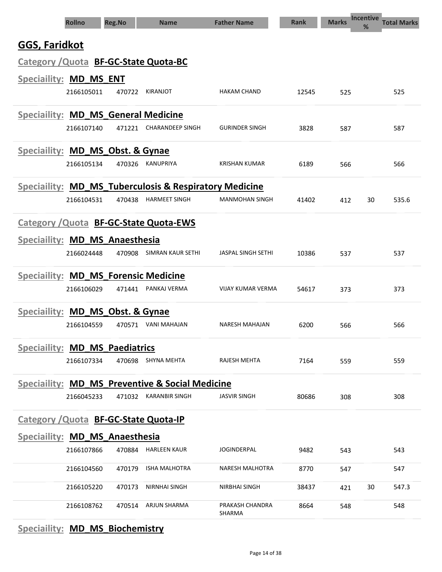|                                             | <b>Rollno</b> | <b>Reg.No</b> | <b>Name</b>                                            | <b>Father Name</b>        | <b>Rank</b> | <b>Marks</b> | <b>Incentive</b><br>% | <b>Total Marks</b> |
|---------------------------------------------|---------------|---------------|--------------------------------------------------------|---------------------------|-------------|--------------|-----------------------|--------------------|
| <b>GGS, Faridkot</b>                        |               |               |                                                        |                           |             |              |                       |                    |
| Category / Quota BF-GC-State Quota-BC       |               |               |                                                        |                           |             |              |                       |                    |
| Speciaility: MD_MS_ENT                      |               |               |                                                        |                           |             |              |                       |                    |
|                                             | 2166105011    | 470722        | KIRANJOT                                               | <b>HAKAM CHAND</b>        | 12545       | 525          |                       | 525                |
| <b>Speciallity: MD MS General Medicine</b>  |               |               |                                                        |                           |             |              |                       |                    |
|                                             | 2166107140    | 471221        | <b>CHARANDEEP SINGH</b>                                | <b>GURINDER SINGH</b>     | 3828        | 587          |                       | 587                |
| Speciallity: MD_MS_Obst. & Gynae            |               |               |                                                        |                           |             |              |                       |                    |
|                                             | 2166105134    | 470326        | <b>KANUPRIYA</b>                                       | KRISHAN KUMAR             | 6189        | 566          |                       | 566                |
|                                             |               |               | Speciallity: MD_MS_Tuberculosis & Respiratory Medicine |                           |             |              |                       |                    |
|                                             | 2166104531    | 470438        | <b>HARMEET SINGH</b>                                   | <b>MANMOHAN SINGH</b>     | 41402       | 412          | 30                    | 535.6              |
|                                             |               |               | Category / Quota BF-GC-State Quota-EWS                 |                           |             |              |                       |                    |
| Speciaility: MD_MS_Anaesthesia              |               |               |                                                        |                           |             |              |                       |                    |
|                                             | 2166024448    | 470908        | <b>SIMRAN KAUR SETHI</b>                               | <b>JASPAL SINGH SETHI</b> | 10386       | 537          |                       | 537                |
| <b>Speciallity: MD_MS_Forensic Medicine</b> |               |               |                                                        |                           |             |              |                       |                    |
|                                             | 2166106029    | 471441        | PANKAJ VERMA                                           | VIJAY KUMAR VERMA         | 54617       | 373          |                       | 373                |
| Speciallity: MD_MS_Obst. & Gynae            |               |               |                                                        |                           |             |              |                       |                    |
|                                             | 2166104559    | 470571        | VANI MAHAJAN                                           | <b>NARESH MAHAJAN</b>     | 6200        | 566          |                       | 566                |
| <b>Speciallity: MD MS Paediatrics</b>       |               |               |                                                        |                           |             |              |                       |                    |
|                                             | 2166107334    |               | 470698 SHYNA MEHTA                                     | RAJESH MEHTA              | 7164        | 559          |                       | 559                |
|                                             |               |               | Speciallity: MD_MS_Preventive & Social Medicine        |                           |             |              |                       |                    |
|                                             | 2166045233    |               | 471032 KARANBIR SINGH                                  | <b>JASVIR SINGH</b>       | 80686       | 308          |                       | 308                |
| Category / Quota BF-GC-State Quota-IP       |               |               |                                                        |                           |             |              |                       |                    |
| <b>Speciallity: MD_MS_Anaesthesia</b>       |               |               |                                                        |                           |             |              |                       |                    |
|                                             | 2166107866    |               | 470884 HARLEEN KAUR                                    | <b>JOGINDERPAL</b>        | 9482        | 543          |                       | 543                |
|                                             | 2166104560    | 470179        | <b>ISHA MALHOTRA</b>                                   | NARESH MALHOTRA           | 8770        | 547          |                       | 547                |
|                                             | 2166105220    | 470173        | <b>NIRNHAI SINGH</b>                                   | NIRBHAI SINGH             | 38437       | 421          | 30                    | 547.3              |
|                                             | 2166108762    | 470514        | <b>ARJUN SHARMA</b>                                    | PRAKASH CHANDRA<br>SHARMA | 8664        | 548          |                       | 548                |

# Speciaility: **MD\_MS\_Biochemistry**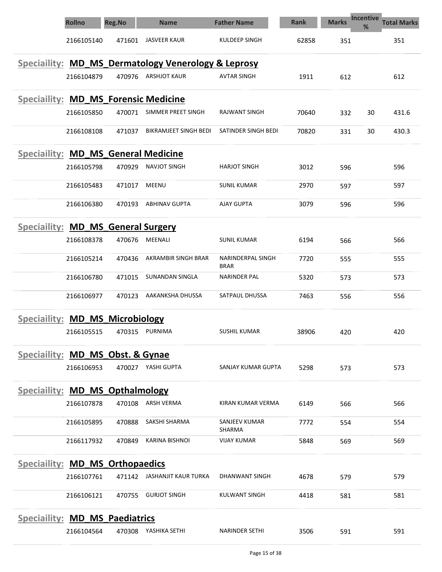|                                             | <b>Rollno</b> | <b>Reg.No</b> | <b>Name</b>                                         | <b>Father Name</b>        | <b>Rank</b> | <b>Marks</b> | <b>Incentive</b><br>% | <b>Total Marks</b> |
|---------------------------------------------|---------------|---------------|-----------------------------------------------------|---------------------------|-------------|--------------|-----------------------|--------------------|
|                                             | 2166105140    | 471601        | JASVEER KAUR                                        | KULDEEP SINGH             | 62858       | 351          |                       | 351                |
|                                             |               |               | Speciallity: MD_MS_Dermatology Venerology & Leprosy |                           |             |              |                       |                    |
|                                             | 2166104879    | 470976        | <b>ARSHJOT KAUR</b>                                 | <b>AVTAR SINGH</b>        | 1911        | 612          |                       | 612                |
| <b>Speciallity: MD_MS_Forensic Medicine</b> |               |               |                                                     |                           |             |              |                       |                    |
|                                             | 2166105850    | 470071        | SIMMER PREET SINGH                                  | RAJWANT SINGH             | 70640       | 332          | 30                    | 431.6              |
|                                             | 2166108108    | 471037        | <b>BIKRAMJEET SINGH BEDI</b>                        | SATINDER SINGH BEDI       | 70820       | 331          | 30                    | 430.3              |
| <b>Speciallity: MD_MS_General Medicine</b>  |               |               |                                                     |                           |             |              |                       |                    |
|                                             | 2166105798    | 470929        | NAVJOT SINGH                                        | <b>HARJOT SINGH</b>       | 3012        | 596          |                       | 596                |
|                                             | 2166105483    | 471017        | <b>MEENU</b>                                        | <b>SUNIL KUMAR</b>        | 2970        | 597          |                       | 597                |
|                                             | 2166106380    | 470193        | <b>ABHINAV GUPTA</b>                                | <b>AJAY GUPTA</b>         | 3079        | 596          |                       | 596                |
| <b>Speciallity: MD_MS_General Surgery</b>   |               |               |                                                     |                           |             |              |                       |                    |
|                                             | 2166108378    | 470676        | MEENALI                                             | <b>SUNIL KUMAR</b>        | 6194        | 566          |                       | 566                |
|                                             | 2166105214    | 470436        | AKRAMBIR SINGH BRAR                                 | NARINDERPAL SINGH<br>BRAR | 7720        | 555          |                       | 555                |
|                                             | 2166106780    | 471015        | SUNANDAN SINGLA                                     | NARINDER PAL              | 5320        | 573          |                       | 573                |
|                                             | 2166106977    | 470123        | AAKANKSHA DHUSSA                                    | SATPAUL DHUSSA            | 7463        | 556          |                       | 556                |
| Speciallity: MD_MS_Microbiology             |               |               |                                                     |                           |             |              |                       |                    |
|                                             | 2166105515    | 470315        | PURNIMA                                             | <b>SUSHIL KUMAR</b>       | 38906       | 420          |                       | 420                |
| Speciallity: MD_MS_Obst. & Gynae            |               |               |                                                     |                           |             |              |                       |                    |
|                                             | 2166106953    | 470027        | YASHI GUPTA                                         | SANJAY KUMAR GUPTA        | 5298        | 573          |                       | 573                |
| Speciallity: MD MS Opthalmology             |               |               |                                                     |                           |             |              |                       |                    |
|                                             | 2166107878    | 470108        | ARSH VERMA                                          | KIRAN KUMAR VERMA         | 6149        | 566          |                       | 566                |
|                                             | 2166105895    | 470888        | SAKSHI SHARMA                                       | SANJEEV KUMAR<br>SHARMA   | 7772        | 554          |                       | 554                |
|                                             | 2166117932    | 470849        | <b>KARINA BISHNOI</b>                               | <b>VIJAY KUMAR</b>        | 5848        | 569          |                       | 569                |
| <b>Speciallity: MD MS Orthopaedics</b>      |               |               |                                                     |                           |             |              |                       |                    |
|                                             | 2166107761    |               | 471142 JASHANJIT KAUR TURKA                         | DHANWANT SINGH            | 4678        | 579          |                       | 579                |
|                                             | 2166106121    | 470755        | <b>GURJOT SINGH</b>                                 | KULWANT SINGH             | 4418        | 581          |                       | 581                |
| <b>Speciallity: MD_MS_Paediatrics</b>       |               |               |                                                     |                           |             |              |                       |                    |
|                                             | 2166104564    | 470308        | YASHIKA SETHI                                       | NARINDER SETHI            | 3506        | 591          |                       | 591                |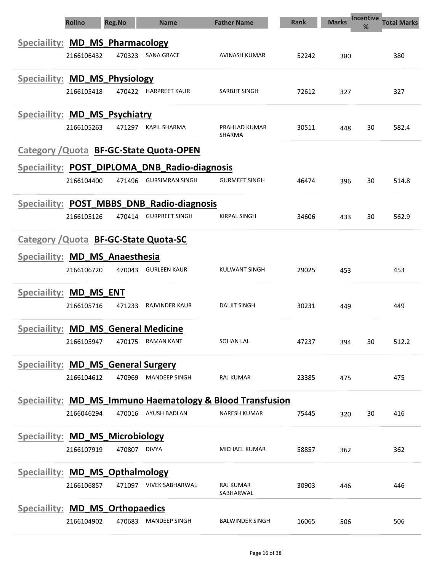| <b>Rollno</b>                                 | <b>Reg.No</b> | <b>Name</b>            | <b>Father Name</b>                                                   | <b>Rank</b> | <b>Marks</b> | <b>Incentive</b><br>% | <b>Total Marks</b> |
|-----------------------------------------------|---------------|------------------------|----------------------------------------------------------------------|-------------|--------------|-----------------------|--------------------|
| <b>Speciallity: MD_MS_Pharmacology</b>        |               |                        |                                                                      |             |              |                       |                    |
| 2166106432                                    | 470323        | SANA GRACE             | AVINASH KUMAR                                                        | 52242       | 380          |                       | 380                |
|                                               |               |                        |                                                                      |             |              |                       |                    |
| Speciallity: MD_MS_Physiology<br>2166105418   |               | 470422 HARPREET KAUR   | SARBJIT SINGH                                                        | 72612       |              |                       | 327                |
|                                               |               |                        |                                                                      |             | 327          |                       |                    |
| Speciallity: MD_MS_Psychiatry                 |               |                        |                                                                      |             |              |                       |                    |
| 2166105263                                    | 471297        | KAPIL SHARMA           | PRAHLAD KUMAR<br>SHARMA                                              | 30511       | 448          | 30                    | 582.4              |
| Category / Quota BF-GC-State Quota-OPEN       |               |                        |                                                                      |             |              |                       |                    |
| Speciallity: POST_DIPLOMA_DNB_Radio-diagnosis |               |                        |                                                                      |             |              |                       |                    |
| 2166104400                                    | 471496        | <b>GURSIMRAN SINGH</b> | <b>GURMEET SINGH</b>                                                 | 46474       | 396          | 30                    | 514.8              |
| Speciallity: POST MBBS DNB Radio-diagnosis    |               |                        |                                                                      |             |              |                       |                    |
| 2166105126                                    |               | 470414 GURPREET SINGH  | <b>KIRPAL SINGH</b>                                                  | 34606       | 433          | 30                    | 562.9              |
|                                               |               |                        |                                                                      |             |              |                       |                    |
| Category / Quota BF-GC-State Quota-SC         |               |                        |                                                                      |             |              |                       |                    |
| Speciallity: MD_MS_Anaesthesia                |               |                        |                                                                      |             |              |                       |                    |
| 2166106720                                    |               | 470043 GURLEEN KAUR    | <b>KULWANT SINGH</b>                                                 | 29025       | 453          |                       | 453                |
| Speciallity: MD_MS ENT                        |               |                        |                                                                      |             |              |                       |                    |
| 2166105716                                    | 471233        | RAJVINDER KAUR         | <b>DALJIT SINGH</b>                                                  | 30231       | 449          |                       | 449                |
| <b>Speciallity: MD MS General Medicine</b>    |               |                        |                                                                      |             |              |                       |                    |
| 2166105947                                    |               | 470175 RAMAN KANT      | SOHAN LAL                                                            | 47237       | 394          | 30                    | 512.2              |
| <b>Speciallity: MD_MS_General Surgery</b>     |               |                        |                                                                      |             |              |                       |                    |
| 2166104612                                    | 470969        | <b>MANDEEP SINGH</b>   | RAJ KUMAR                                                            | 23385       | 475          |                       | 475                |
|                                               |               |                        |                                                                      |             |              |                       |                    |
|                                               |               |                        | <b>Speciallity: MD_MS_Immuno Haematology &amp; Blood Transfusion</b> |             |              |                       |                    |
| 2166046294                                    | 470016        | AYUSH BADLAN           | <b>NARESH KUMAR</b>                                                  | 75445       | 320          | 30                    | 416                |
| <b>Speciallity: MD_MS_Microbiology</b>        |               |                        |                                                                      |             |              |                       |                    |
| 2166107919                                    |               | 470807 DIVYA           | MICHAEL KUMAR                                                        | 58857       | 362          |                       | 362                |
| <b>Speciallity: MD MS Opthalmology</b>        |               |                        |                                                                      |             |              |                       |                    |
| 2166106857                                    |               | 471097 VIVEK SABHARWAL | RAJ KUMAR                                                            | 30903       | 446          |                       | 446                |
|                                               |               |                        | SABHARWAL                                                            |             |              |                       |                    |
| <b>Speciallity: MD_MS_Orthopaedics</b>        |               |                        |                                                                      |             |              |                       |                    |
| 2166104902                                    | 470683        | <b>MANDEEP SINGH</b>   | <b>BALWINDER SINGH</b>                                               | 16065       | 506          |                       | 506                |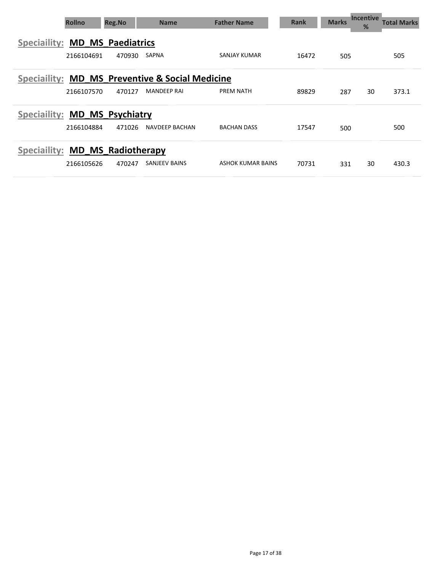| <b>Rollno</b>                                   | <b>Reg.No</b> | <b>Name</b>           | <b>Father Name</b> | <b>Rank</b> | <b>Marks</b> | <b>Incentive</b><br>% | Total Marks |
|-------------------------------------------------|---------------|-----------------------|--------------------|-------------|--------------|-----------------------|-------------|
| <b>Speciallity: MD MS Paediatrics</b>           |               |                       |                    |             |              |                       |             |
| 2166104691                                      | 470930        | <b>SAPNA</b>          | SANJAY KUMAR       | 16472       | 505          |                       | 505         |
| Speciallity: MD MS Preventive & Social Medicine |               |                       |                    |             |              |                       |             |
| 2166107570                                      | 470127        | <b>MANDEEP RAI</b>    | <b>PREM NATH</b>   | 89829       | 287          | 30                    | 373.1       |
| Speciallity: MD MS Psychiatry                   |               |                       |                    |             |              |                       |             |
| 2166104884                                      | 471026        | <b>NAVDEEP BACHAN</b> | <b>BACHAN DASS</b> | 17547       | 500          |                       | 500         |
| Speciallity: MD MS Radiotherapy                 |               |                       |                    |             |              |                       |             |
| 2166105626                                      | 470247        | <b>SANJEEV BAINS</b>  | ASHOK KUMAR BAINS  | 70731       | 331          | 30                    | 430.3       |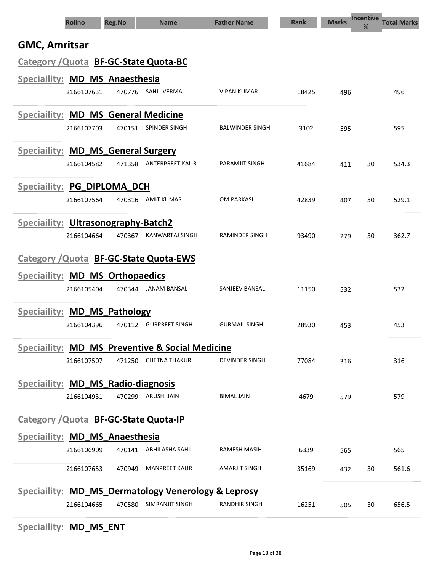|                                       | <b>Rollno</b> | <b>Reg.No</b> | <b>Name</b>                                                    | <b>Father Name</b>     | <b>Rank</b> | <b>Marks</b> | <b>Incentive</b><br>% | <b>Total Marks</b> |
|---------------------------------------|---------------|---------------|----------------------------------------------------------------|------------------------|-------------|--------------|-----------------------|--------------------|
| <b>GMC, Amritsar</b>                  |               |               |                                                                |                        |             |              |                       |                    |
|                                       |               |               | Category / Quota BF-GC-State Quota-BC                          |                        |             |              |                       |                    |
| Speciaility: MD_MS_Anaesthesia        |               |               |                                                                |                        |             |              |                       |                    |
|                                       | 2166107631    |               | 470776 SAHIL VERMA                                             | <b>VIPAN KUMAR</b>     | 18425       | 496          |                       | 496                |
|                                       |               |               | <b>Speciallity: MD MS General Medicine</b>                     |                        |             |              |                       |                    |
|                                       | 2166107703    | 470151        | SPINDER SINGH                                                  | <b>BALWINDER SINGH</b> | 3102        | 595          |                       | 595                |
| Speciallity: MD_MS_General Surgery    |               |               |                                                                |                        |             |              |                       |                    |
|                                       | 2166104582    | 471358        | <b>ANTERPREET KAUR</b>                                         | <b>PARAMJIT SINGH</b>  | 41684       | 411          | 30                    | 534.3              |
| Speciallity: PG_DIPLOMA_DCH           |               |               |                                                                |                        |             |              |                       |                    |
|                                       | 2166107564    | 470316        | <b>AMIT KUMAR</b>                                              | <b>OM PARKASH</b>      | 42839       | 407          | 30                    | 529.1              |
| Speciallity: Ultrasonography-Batch2   |               |               |                                                                |                        |             |              |                       |                    |
|                                       | 2166104664    | 470367        | <b>KANWARTAJ SINGH</b>                                         | <b>RAMINDER SINGH</b>  | 93490       | 279          | 30                    | 362.7              |
|                                       |               |               | Category / Quota BF-GC-State Quota-EWS                         |                        |             |              |                       |                    |
| Speciallity: MD_MS_Orthopaedics       |               |               |                                                                |                        |             |              |                       |                    |
|                                       | 2166105404    | 470344        | JANAM BANSAL                                                   | <b>SANJEEV BANSAL</b>  | 11150       | 532          |                       | 532                |
| Speciallity: MD_MS_Pathology          |               |               |                                                                |                        |             |              |                       |                    |
|                                       | 2166104396    | 470112        | <b>GURPREET SINGH</b>                                          | <b>GURMAIL SINGH</b>   | 28930       | 453          |                       | 453                |
|                                       |               |               | Speciallity: MD MS Preventive & Social Medicine                |                        |             |              |                       |                    |
|                                       | 2166107507    |               | 471250 CHETNA THAKUR                                           | <b>DEVINDER SINGH</b>  | 77084       | 316          |                       | 316                |
| Speciallity: MD_MS_Radio-diagnosis    |               |               |                                                                |                        |             |              |                       |                    |
|                                       | 2166104931    |               | 470299 ARUSHI JAIN                                             | <b>BIMAL JAIN</b>      | 4679        | 579          |                       | 579                |
|                                       |               |               | Category / Quota BF-GC-State Quota-IP                          |                        |             |              |                       |                    |
| <b>Speciallity: MD_MS_Anaesthesia</b> |               |               |                                                                |                        |             |              |                       |                    |
|                                       | 2166106909    |               | 470141 ABHILASHA SAHIL                                         | RAMESH MASIH           | 6339        | 565          |                       | 565                |
|                                       | 2166107653    | 470949        | <b>MANPREET KAUR</b>                                           | <b>AMARJIT SINGH</b>   | 35169       | 432          | 30                    | 561.6              |
|                                       |               |               | <b>Speciallity: MD_MS_Dermatology Venerology &amp; Leprosy</b> |                        |             |              |                       |                    |
|                                       | 2166104665    | 470580        | SIMRANJIT SINGH                                                | <b>RANDHIR SINGH</b>   | 16251       | 505          | 30                    | 656.5              |

# Speciaility: **MD\_MS\_ENT**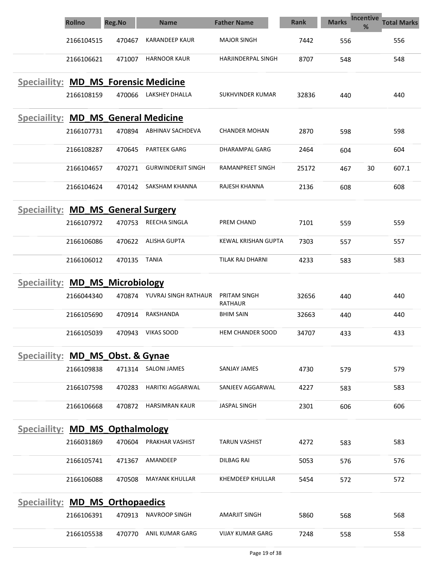|                                             | <b>Rollno</b> | <b>Reg.No</b> | <b>Name</b>                 | <b>Father Name</b>         | <b>Rank</b> | <b>Incentive</b><br><b>Marks</b><br>% | <b>Total Marks</b> |
|---------------------------------------------|---------------|---------------|-----------------------------|----------------------------|-------------|---------------------------------------|--------------------|
|                                             | 2166104515    | 470467        | <b>KARANDEEP KAUR</b>       | <b>MAJOR SINGH</b>         | 7442        | 556                                   | 556                |
|                                             | 2166106621    | 471007        | <b>HARNOOR KAUR</b>         | <b>HARJINDERPAL SINGH</b>  | 8707        | 548                                   | 548                |
| <b>Speciallity: MD_MS_Forensic Medicine</b> | 2166108159    | 470066        | LAKSHEY DHALLA              | SUKHVINDER KUMAR           | 32836       | 440                                   | 440                |
|                                             |               |               |                             |                            |             |                                       |                    |
| Speciallity: MD_MS_General Medicine         |               |               |                             |                            |             |                                       |                    |
|                                             | 2166107731    | 470894        | ABHINAV SACHDEVA            | <b>CHANDER MOHAN</b>       | 2870        | 598                                   | 598                |
|                                             | 2166108287    | 470645        | <b>PARTEEK GARG</b>         | DHARAMPAL GARG             | 2464        | 604                                   | 604                |
|                                             | 2166104657    | 470271        | <b>GURWINDERJIT SINGH</b>   | RAMANPREET SINGH           | 25172       | 30<br>467                             | 607.1              |
|                                             | 2166104624    | 470142        | SAKSHAM KHANNA              | RAJESH KHANNA              | 2136        | 608                                   | 608                |
| Speciallity: MD_MS_General Surgery          |               |               |                             |                            |             |                                       |                    |
|                                             | 2166107972    | 470753        | REECHA SINGLA               | PREM CHAND                 | 7101        | 559                                   | 559                |
|                                             | 2166106086    | 470622        | <b>ALISHA GUPTA</b>         | <b>KEWAL KRISHAN GUPTA</b> | 7303        | 557                                   | 557                |
|                                             | 2166106012    | 470135        | TANIA                       | TILAK RAJ DHARNI           | 4233        | 583                                   | 583                |
| Speciallity: MD_MS_Microbiology             |               |               |                             |                            |             |                                       |                    |
|                                             | 2166044340    |               | 470874 YUVRAJ SINGH RATHAUR | PRITAM SINGH<br>RATHAUR    | 32656       | 440                                   | 440                |
|                                             | 2166105690    | 470914        | RAKSHANDA                   | <b>BHIM SAIN</b>           | 32663       | 440                                   | 440                |
|                                             | 2166105039    | 470943        | <b>VIKAS SOOD</b>           | <b>HEM CHANDER SOOD</b>    | 34707       | 433                                   | 433                |
| Speciallity: MD MS Obst. & Gynae            |               |               |                             |                            |             |                                       |                    |
|                                             | 2166109838    | 471314        | <b>SALONI JAMES</b>         | <b>SANJAY JAMES</b>        | 4730        | 579                                   | 579                |
|                                             | 2166107598    | 470283        | <b>HARITKI AGGARWAL</b>     | SANJEEV AGGARWAL           | 4227        | 583                                   | 583                |
|                                             | 2166106668    | 470872        | <b>HARSIMRAN KAUR</b>       | <b>JASPAL SINGH</b>        | 2301        | 606                                   | 606                |
| Speciallity: MD MS Opthalmology             |               |               |                             |                            |             |                                       |                    |
|                                             | 2166031869    | 470604        | PRAKHAR VASHIST             | <b>TARUN VASHIST</b>       | 4272        | 583                                   | 583                |
|                                             | 2166105741    | 471367        | AMANDEEP                    | <b>DILBAG RAI</b>          | 5053        | 576                                   | 576                |
|                                             | 2166106088    | 470508        | <b>MAYANK KHULLAR</b>       | KHEMDEEP KHULLAR           | 5454        | 572                                   | 572                |
| Speciallity: MD_MS_Orthopaedics             |               |               |                             |                            |             |                                       |                    |
|                                             | 2166106391    | 470913        | <b>NAVROOP SINGH</b>        | <b>AMARJIT SINGH</b>       | 5860        | 568                                   | 568                |
|                                             | 2166105538    | 470770        | ANIL KUMAR GARG             | <b>VIJAY KUMAR GARG</b>    | 7248        | 558                                   | 558                |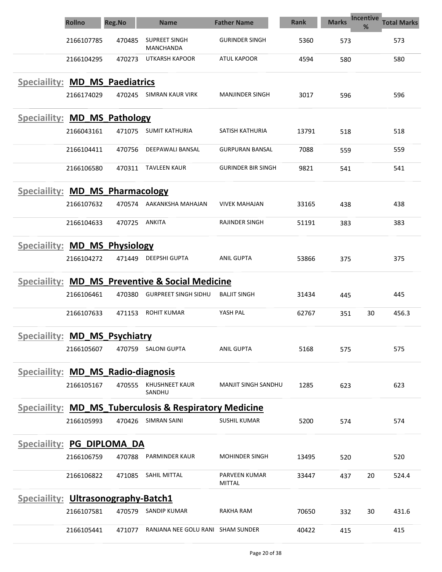|                                       | <b>Rollno</b> | <b>Reg.No</b> | <b>Name</b>                                                       | <b>Father Name</b>         | Rank  | <b>Marks</b> | <b>Incentive</b><br>% | <b>Total Marks</b> |
|---------------------------------------|---------------|---------------|-------------------------------------------------------------------|----------------------------|-------|--------------|-----------------------|--------------------|
|                                       | 2166107785    | 470485        | <b>SUPREET SINGH</b><br>MANCHANDA                                 | <b>GURINDER SINGH</b>      | 5360  | 573          |                       | 573                |
|                                       | 2166104295    | 470273        | UTKARSH KAPOOR                                                    | <b>ATUL KAPOOR</b>         | 4594  | 580          |                       | 580                |
| <b>Speciallity: MD MS Paediatrics</b> |               |               |                                                                   |                            |       |              |                       |                    |
|                                       | 2166174029    | 470245        | <b>SIMRAN KAUR VIRK</b>                                           | <b>MANJINDER SINGH</b>     | 3017  | 596          |                       | 596                |
| <b>Speciallity: MD MS Pathology</b>   |               |               |                                                                   |                            |       |              |                       |                    |
|                                       | 2166043161    | 471075        | <b>SUMIT KATHURIA</b>                                             | SATISH KATHURIA            | 13791 | 518          |                       | 518                |
|                                       | 2166104411    | 470756        | DEEPAWALI BANSAL                                                  | <b>GURPURAN BANSAL</b>     | 7088  | 559          |                       | 559                |
|                                       | 2166106580    | 470311        | <b>TAVLEEN KAUR</b>                                               | <b>GURINDER BIR SINGH</b>  | 9821  | 541          |                       | 541                |
| Speciallity: MD_MS_Pharmacology       |               |               |                                                                   |                            |       |              |                       |                    |
|                                       | 2166107632    | 470574        | AAKANKSHA MAHAJAN                                                 | <b>VIVEK MAHAJAN</b>       | 33165 | 438          |                       | 438                |
|                                       | 2166104633    | 470725        | <b>ANKITA</b>                                                     | <b>RAJINDER SINGH</b>      | 51191 | 383          |                       | 383                |
| Speciallity: MD_MS_Physiology         |               |               |                                                                   |                            |       |              |                       |                    |
|                                       | 2166104272    | 471449        | <b>DEEPSHI GUPTA</b>                                              | <b>ANIL GUPTA</b>          | 53866 | 375          |                       | 375                |
|                                       |               |               | Speciallity: MD MS Preventive & Social Medicine                   |                            |       |              |                       |                    |
|                                       | 2166106461    | 470380        | <b>GURPREET SINGH SIDHU</b>                                       | <b>BALJIT SINGH</b>        | 31434 | 445          |                       | 445                |
|                                       | 2166107633    | 471153        | <b>ROHIT KUMAR</b>                                                | YASH PAL                   | 62767 | 351          | 30                    | 456.3              |
| Speciallity: MD MS Psychiatry         |               |               |                                                                   |                            |       |              |                       |                    |
|                                       | 2166105607    | 470759        | SALONI GUPTA                                                      | ANIL GUPTA                 | 5168  | 575          |                       | 575                |
| Speciallity: MD_MS_Radio-diagnosis    |               |               |                                                                   |                            |       |              |                       |                    |
|                                       | 2166105167    | 470555        | <b>KHUSHNEET KAUR</b><br>SANDHU                                   | <b>MANJIT SINGH SANDHU</b> | 1285  | 623          |                       | 623                |
|                                       |               |               | <b>Speciallity: MD_MS_Tuberculosis &amp; Respiratory Medicine</b> |                            |       |              |                       |                    |
|                                       | 2166105993    | 470426        | <b>SIMRAN SAINI</b>                                               | <b>SUSHIL KUMAR</b>        | 5200  | 574          |                       | 574                |
| <b>Speciallity: PG DIPLOMA DA</b>     |               |               |                                                                   |                            |       |              |                       |                    |
|                                       | 2166106759    | 470788        | PARMINDER KAUR                                                    | <b>MOHINDER SINGH</b>      | 13495 | 520          |                       | 520                |
|                                       | 2166106822    | 471085        | SAHIL MITTAL                                                      | PARVEEN KUMAR<br>MITTAL    | 33447 | 437          | 20                    | 524.4              |
| Speciallity: Ultrasonography-Batch1   |               |               |                                                                   |                            |       |              |                       |                    |
|                                       | 2166107581    | 470579        | <b>SANDIP KUMAR</b>                                               | RAKHA RAM                  | 70650 | 332          | 30                    | 431.6              |
|                                       | 2166105441    | 471077        | RANJANA NEE GOLU RANI SHAM SUNDER                                 |                            | 40422 | 415          |                       | 415                |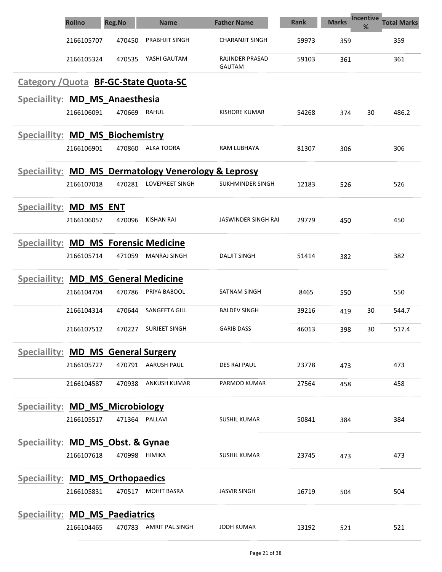|                                             | <b>Rollno</b> | <b>Reg.No</b> | <b>Name</b>                                                    | <b>Father Name</b>                      | <b>Rank</b> | <b>Marks</b> | Incentive<br>$\frac{9}{6}$ | <b>Total Marks</b> |
|---------------------------------------------|---------------|---------------|----------------------------------------------------------------|-----------------------------------------|-------------|--------------|----------------------------|--------------------|
|                                             | 2166105707    | 470450        | <b>PRABHJIT SINGH</b>                                          | <b>CHARANJIT SINGH</b>                  | 59973       | 359          |                            | 359                |
|                                             | 2166105324    | 470535        | YASHI GAUTAM                                                   | <b>RAJINDER PRASAD</b><br><b>GAUTAM</b> | 59103       | 361          |                            | 361                |
|                                             |               |               | Category / Quota BF-GC-State Quota-SC                          |                                         |             |              |                            |                    |
| Speciallity: MD_MS_Anaesthesia              |               |               |                                                                |                                         |             |              |                            |                    |
|                                             | 2166106091    | 470669        | RAHUL                                                          | <b>KISHORE KUMAR</b>                    | 54268       | 374          | 30                         | 486.2              |
| Speciallity: MD_MS_Biochemistry             |               |               |                                                                |                                         |             |              |                            |                    |
|                                             | 2166106901    | 470860        | ALKA TOORA                                                     | RAM LUBHAYA                             | 81307       | 306          |                            | 306                |
|                                             |               |               | <b>Speciallity: MD MS Dermatology Venerology &amp; Leprosy</b> |                                         |             |              |                            |                    |
|                                             | 2166107018    | 470281        | <b>LOVEPREET SINGH</b>                                         | SUKHMINDER SINGH                        | 12183       | 526          |                            | 526                |
| Speciallity: MD_MS_ENT                      |               |               |                                                                |                                         |             |              |                            |                    |
|                                             | 2166106057    | 470096        | <b>KISHAN RAI</b>                                              | JASWINDER SINGH RAI                     | 29779       | 450          |                            | 450                |
| <b>Speciallity: MD_MS_Forensic Medicine</b> |               |               |                                                                |                                         |             |              |                            |                    |
|                                             | 2166105714    | 471059        | <b>MANRAJ SINGH</b>                                            | <b>DALJIT SINGH</b>                     | 51414       | 382          |                            | 382                |
| <b>Speciallity: MD_MS_General Medicine</b>  |               |               |                                                                |                                         |             |              |                            |                    |
|                                             | 2166104704    | 470786        | PRIYA BABOOL                                                   | SATNAM SINGH                            | 8465        | 550          |                            | 550                |
|                                             | 2166104314    | 470644        | <b>SANGEETA GILL</b>                                           | <b>BALDEV SINGH</b>                     | 39216       | 419          | 30                         | 544.7              |
|                                             | 2166107512    | 470227        | SURJEET SINGH                                                  | <b>GARIB DASS</b>                       | 46013       | 398          | 30                         | 517.4              |
| <b>Speciallity: MD_MS_General Surgery</b>   |               |               |                                                                |                                         |             |              |                            |                    |
|                                             | 2166105727    |               | 470791 AARUSH PAUL                                             | DES RAJ PAUL                            | 23778       | 473          |                            | 473                |
|                                             | 2166104587    | 470938        | <b>ANKUSH KUMAR</b>                                            | PARMOD KUMAR                            | 27564       | 458          |                            | 458                |
| <b>Speciallity: MD_MS_Microbiology</b>      |               |               |                                                                |                                         |             |              |                            |                    |
|                                             | 2166105517    |               | 471364 PALLAVI                                                 | <b>SUSHIL KUMAR</b>                     | 50841       | 384          |                            | 384                |
| <b>Speciallity: MD_MS_Obst. &amp; Gynae</b> |               |               |                                                                |                                         |             |              |                            |                    |
|                                             | 2166107618    | 470998        | HIMIKA                                                         | <b>SUSHIL KUMAR</b>                     | 23745       | 473          |                            | 473                |
| Speciallity: MD_MS_Orthopaedics             |               |               |                                                                |                                         |             |              |                            |                    |
|                                             | 2166105831    | 470517        | <b>MOHIT BASRA</b>                                             | <b>JASVIR SINGH</b>                     | 16719       | 504          |                            | 504                |
| Speciallity: MD_MS_Paediatrics              |               |               |                                                                |                                         |             |              |                            |                    |
|                                             | 2166104465    |               | 470783 AMRIT PAL SINGH                                         | JODH KUMAR                              | 13192       | 521          |                            | 521                |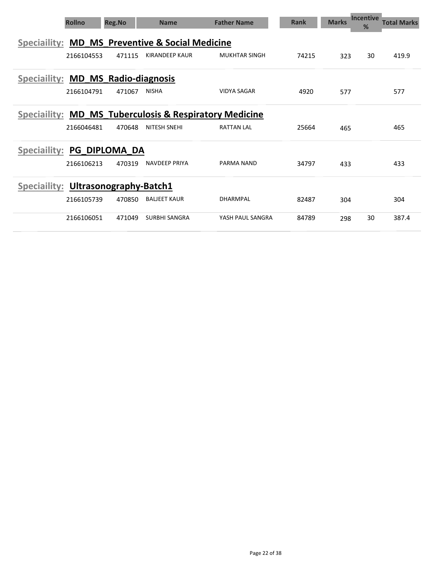| <b>Rollno</b>                       |            | Reg.No        | <b>Name</b>                                            | <b>Father Name</b>   | <b>Rank</b> | <b>Marks</b> | <b>Incentive</b><br>% | <b>Total Marks</b> |
|-------------------------------------|------------|---------------|--------------------------------------------------------|----------------------|-------------|--------------|-----------------------|--------------------|
|                                     |            |               | Speciallity: MD MS Preventive & Social Medicine        |                      |             |              |                       |                    |
|                                     | 2166104553 | 471115        | <b>KIRANDEEP KAUR</b>                                  | <b>MUKHTAR SINGH</b> | 74215       | 323          | 30                    | 419.9              |
| Speciallity: MD MS Radio-diagnosis  |            |               |                                                        |                      |             |              |                       |                    |
|                                     | 2166104791 | 471067        | <b>NISHA</b>                                           | <b>VIDYA SAGAR</b>   | 4920        | 577          |                       | 577                |
|                                     |            |               | Speciallity: MD MS Tuberculosis & Respiratory Medicine |                      |             |              |                       |                    |
|                                     | 2166046481 | 470648        | <b>NITESH SNEHI</b>                                    | <b>RATTAN LAL</b>    | 25664       | 465          |                       | 465                |
| <b>Speciaility:</b>                 |            | PG DIPLOMA DA |                                                        |                      |             |              |                       |                    |
|                                     | 2166106213 | 470319        | <b>NAVDEEP PRIYA</b>                                   | PARMA NAND           | 34797       | 433          |                       | 433                |
| Speciallity: Ultrasonography-Batch1 |            |               |                                                        |                      |             |              |                       |                    |
|                                     | 2166105739 | 470850        | <b>BALJEET KAUR</b>                                    | DHARMPAL             | 82487       | 304          |                       | 304                |
|                                     | 2166106051 | 471049        | <b>SURBHI SANGRA</b>                                   | YASH PAUL SANGRA     | 84789       | 298          | 30                    | 387.4              |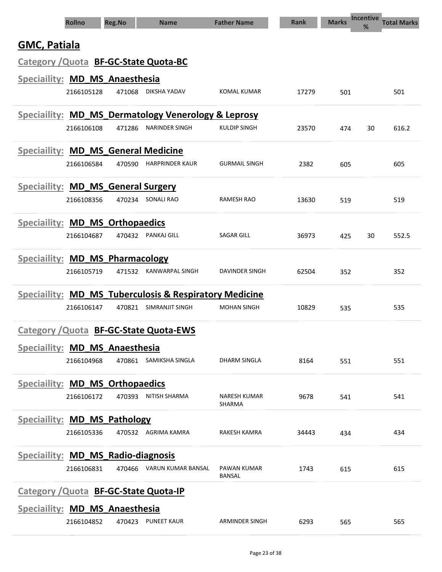| <b>Rollno</b>                                          | <b>Reg.No</b> | <b>Name</b>               | <b>Father Name</b>     | <b>Rank</b> | <b>Marks</b> | <b>Incentive</b><br>% | <b>Total Marks</b> |
|--------------------------------------------------------|---------------|---------------------------|------------------------|-------------|--------------|-----------------------|--------------------|
| <b>GMC, Patiala</b>                                    |               |                           |                        |             |              |                       |                    |
| Category / Quota BF-GC-State Quota-BC                  |               |                           |                        |             |              |                       |                    |
| Speciallity: MD_MS_Anaesthesia                         |               |                           |                        |             |              |                       |                    |
| 2166105128                                             | 471068        | DIKSHA YADAV              | <b>KOMAL KUMAR</b>     | 17279       | 501          |                       | 501                |
| Speciallity: MD_MS_Dermatology Venerology & Leprosy    |               |                           |                        |             |              |                       |                    |
| 2166106108                                             | 471286        | NARINDER SINGH            | KULDIP SINGH           | 23570       | 474          | 30                    | 616.2              |
| <b>Speciallity: MD_MS_General Medicine</b>             |               |                           |                        |             |              |                       |                    |
| 2166106584                                             | 470590        | <b>HARPRINDER KAUR</b>    | <b>GURMAIL SINGH</b>   | 2382        | 605          |                       | 605                |
| Speciallity: MD_MS_General Surgery                     |               |                           |                        |             |              |                       |                    |
| 2166108356                                             | 470234        | SONALI RAO                | <b>RAMESH RAO</b>      | 13630       | 519          |                       | 519                |
| Speciallity: MD MS Orthopaedics                        |               |                           |                        |             |              |                       |                    |
| 2166104687                                             | 470432        | PANKAJ GILL               | <b>SAGAR GILL</b>      | 36973       | 425          | 30                    | 552.5              |
| Speciallity: MD_MS_Pharmacology                        |               |                           |                        |             |              |                       |                    |
| 2166105719                                             | 471532        | KANWARPAL SINGH           | DAVINDER SINGH         | 62504       | 352          |                       | 352                |
| Speciallity: MD_MS_Tuberculosis & Respiratory Medicine |               |                           |                        |             |              |                       |                    |
| 2166106147                                             | 470821        | SIMRANJIT SINGH           | <b>MOHAN SINGH</b>     | 10829       | 535          |                       | 535                |
| Category / Quota BF-GC-State Quota-EWS                 |               |                           |                        |             |              |                       |                    |
| Speciallity: MD_MS_Anaesthesia                         |               |                           |                        |             |              |                       |                    |
| 2166104968                                             |               | 470861 SAMIKSHA SINGLA    | DHARM SINGLA           | 8164        | 551          |                       | 551                |
| Speciallity: MD_MS_Orthopaedics                        |               |                           |                        |             |              |                       |                    |
| 2166106172                                             | 470393        | NITISH SHARMA             | NARESH KUMAR<br>SHARMA | 9678        | 541          |                       | 541                |
| Speciallity: MD_MS_Pathology                           |               |                           |                        |             |              |                       |                    |
| 2166105336                                             |               | 470532 AGRIMA KAMRA       | <b>RAKESH KAMRA</b>    | 34443       | 434          |                       | 434                |
| Speciallity: MD_MS_Radio-diagnosis                     |               |                           |                        |             |              |                       |                    |
| 2166106831                                             |               | 470466 VARUN KUMAR BANSAL | PAWAN KUMAR<br>BANSAL  | 1743        | 615          |                       | 615                |
| Category / Quota BF-GC-State Quota-IP                  |               |                           |                        |             |              |                       |                    |
| Speciallity: MD_MS_Anaesthesia                         |               |                           |                        |             |              |                       |                    |
| 2166104852                                             | 470423        | <b>PUNEET KAUR</b>        | ARMINDER SINGH         | 6293        | 565          |                       | 565                |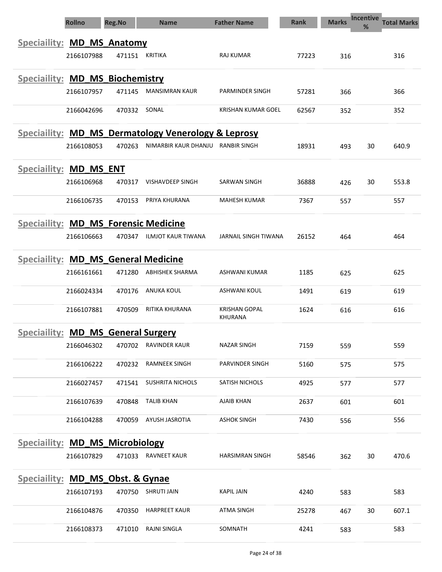|                                             | <b>Rollno</b> | <b>Reg.No</b> | <b>Name</b>                                         | <b>Father Name</b>                     | <b>Rank</b> | <b>Marks</b> | Incentive<br>% | <b>Total Marks</b> |
|---------------------------------------------|---------------|---------------|-----------------------------------------------------|----------------------------------------|-------------|--------------|----------------|--------------------|
| Speciallity: MD_MS_Anatomy                  |               |               |                                                     |                                        |             |              |                |                    |
|                                             | 2166107988    | 471151        | <b>KRITIKA</b>                                      | RAJ KUMAR                              | 77223       | 316          |                | 316                |
| Speciallity: MD_MS_Biochemistry             |               |               |                                                     |                                        |             |              |                |                    |
|                                             | 2166107957    | 471145        | <b>MANSIMRAN KAUR</b>                               | PARMINDER SINGH                        | 57281       | 366          |                | 366                |
|                                             | 2166042696    | 470332        | SONAL                                               | KRISHAN KUMAR GOEL                     | 62567       | 352          |                | 352                |
|                                             |               |               | Speciallity: MD_MS_Dermatology Venerology & Leprosy |                                        |             |              |                |                    |
|                                             | 2166108053    | 470263        | NIMARBIR KAUR DHANJU                                | RANBIR SINGH                           | 18931       | 493          | 30             | 640.9              |
| <b>Speciallity: MD MS ENT</b>               |               |               |                                                     |                                        |             |              |                |                    |
|                                             | 2166106968    | 470317        | VISHAVDEEP SINGH                                    | SARWAN SINGH                           | 36888       | 426          | 30             | 553.8              |
|                                             | 2166106735    | 470153        | PRIYA KHURANA                                       | <b>MAHESH KUMAR</b>                    | 7367        | 557          |                | 557                |
| <b>Speciallity: MD_MS_Forensic Medicine</b> |               |               |                                                     |                                        |             |              |                |                    |
|                                             | 2166106663    | 470347        | ILMJOT KAUR TIWANA                                  | <b>JARNAIL SINGH TIWANA</b>            | 26152       | 464          |                | 464                |
| <b>Speciallity: MD_MS_General Medicine</b>  |               |               |                                                     |                                        |             |              |                |                    |
|                                             | 2166161661    | 471280        | <b>ABHISHEK SHARMA</b>                              | ASHWANI KUMAR                          | 1185        | 625          |                | 625                |
|                                             | 2166024334    | 470176        | <b>ANUKA KOUL</b>                                   | <b>ASHWANI KOUL</b>                    | 1491        | 619          |                | 619                |
|                                             | 2166107881    | 470509        | RITIKA KHURANA                                      | <b>KRISHAN GOPAL</b><br><b>KHURANA</b> | 1624        | 616          |                | 616                |
| Speciallity: MD_MS_General Surgery          |               |               |                                                     |                                        |             |              |                |                    |
|                                             | 2166046302    | 470702        | RAVINDER KAUR                                       | NAZAR SINGH                            | 7159        | 559          |                | 559                |
|                                             | 2166106222    | 470232        | <b>RAMNEEK SINGH</b>                                | PARVINDER SINGH                        | 5160        | 575          |                | 575                |
|                                             | 2166027457    | 471541        | SUSHRITA NICHOLS                                    | SATISH NICHOLS                         | 4925        | 577          |                | 577                |
|                                             | 2166107639    | 470848        | <b>TALIB KHAN</b>                                   | <b>AJAIB KHAN</b>                      | 2637        | 601          |                | 601                |
|                                             | 2166104288    | 470059        | AYUSH JASROTIA                                      | <b>ASHOK SINGH</b>                     | 7430        | 556          |                | 556                |
| <b>Speciallity: MD_MS_Microbiology</b>      |               |               |                                                     |                                        |             |              |                |                    |
|                                             | 2166107829    |               | 471033 RAVNEET KAUR                                 | <b>HARSIMRAN SINGH</b>                 | 58546       | 362          | 30             | 470.6              |
| Speciallity: MD MS Obst. & Gynae            |               |               |                                                     |                                        |             |              |                |                    |
|                                             | 2166107193    |               | 470750 SHRUTI JAIN                                  | KAPIL JAIN                             | 4240        | 583          |                | 583                |
|                                             | 2166104876    | 470350        | <b>HARPREET KAUR</b>                                | <b>ATMA SINGH</b>                      | 25278       | 467          | 30             | 607.1              |
|                                             | 2166108373    | 471010        | RAJNI SINGLA                                        | SOMNATH                                | 4241        | 583          |                | 583                |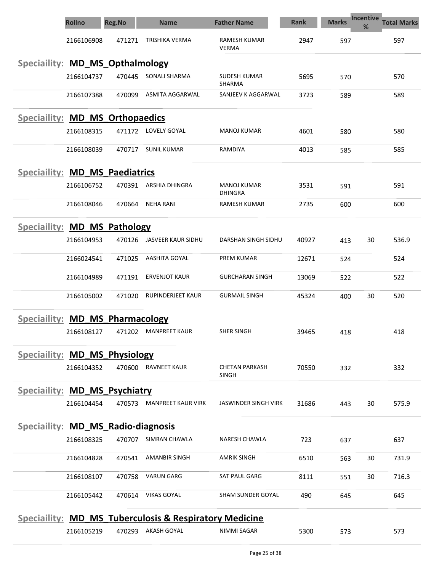|                                       | <b>Rollno</b> | <b>Reg.No</b> | <b>Name</b>                                                       | <b>Father Name</b>                    | <b>Rank</b> | <b>Marks</b> | Incentive<br>% | <b>Total Marks</b> |
|---------------------------------------|---------------|---------------|-------------------------------------------------------------------|---------------------------------------|-------------|--------------|----------------|--------------------|
|                                       | 2166106908    | 471271        | TRISHIKA VERMA                                                    | RAMESH KUMAR<br><b>VERMA</b>          | 2947        | 597          |                | 597                |
| Speciallity: MD_MS_Opthalmology       |               |               |                                                                   |                                       |             |              |                |                    |
|                                       | 2166104737    | 470445        | SONALI SHARMA                                                     | SUDESH KUMAR<br>SHARMA                | 5695        | 570          |                | 570                |
|                                       | 2166107388    | 470099        | ASMITA AGGARWAL                                                   | SANJEEV K AGGARWAL                    | 3723        | 589          |                | 589                |
| Speciallity: MD_MS_Orthopaedics       |               |               |                                                                   |                                       |             |              |                |                    |
|                                       | 2166108315    | 471172        | LOVELY GOYAL                                                      | <b>MANOJ KUMAR</b>                    | 4601        | 580          |                | 580                |
|                                       | 2166108039    | 470717        | <b>SUNIL KUMAR</b>                                                | RAMDIYA                               | 4013        | 585          |                | 585                |
| <b>Speciallity: MD MS Paediatrics</b> |               |               |                                                                   |                                       |             |              |                |                    |
|                                       | 2166106752    | 470391        | ARSHIA DHINGRA                                                    | MANOJ KUMAR<br><b>DHINGRA</b>         | 3531        | 591          |                | 591                |
|                                       | 2166108046    | 470664        | <b>NEHA RANI</b>                                                  | <b>RAMESH KUMAR</b>                   | 2735        | 600          |                | 600                |
| Speciallity: MD_MS_Pathology          |               |               |                                                                   |                                       |             |              |                |                    |
|                                       | 2166104953    | 470126        | JASVEER KAUR SIDHU                                                | DARSHAN SINGH SIDHU                   | 40927       | 413          | 30             | 536.9              |
|                                       | 2166024541    | 471025        | AASHITA GOYAL                                                     | PREM KUMAR                            | 12671       | 524          |                | 524                |
|                                       | 2166104989    | 471191        | <b>ERVENJOT KAUR</b>                                              | <b>GURCHARAN SINGH</b>                | 13069       | 522          |                | 522                |
|                                       | 2166105002    | 471020        | <b>RUPINDERJEET KAUR</b>                                          | <b>GURMAIL SINGH</b>                  | 45324       | 400          | 30             | 520                |
| Speciallity: MD_MS_Pharmacology       |               |               |                                                                   |                                       |             |              |                |                    |
|                                       | 2166108127    | 471202        | <b>MANPREET KAUR</b>                                              | SHER SINGH                            | 39465       | 418          |                | 418                |
| <b>Speciallity: MD MS Physiology</b>  |               |               |                                                                   |                                       |             |              |                |                    |
|                                       | 2166104352    | 470600        | <b>RAVNEET KAUR</b>                                               | <b>CHETAN PARKASH</b><br><b>SINGH</b> | 70550       | 332          |                | 332                |
| Speciallity: MD_MS_Psychiatry         |               |               |                                                                   |                                       |             |              |                |                    |
|                                       | 2166104454    | 470573        | <b>MANPREET KAUR VIRK</b>                                         | <b>JASWINDER SINGH VIRK</b>           | 31686       | 443          | 30             | 575.9              |
| Speciallity: MD_MS_Radio-diagnosis    |               |               |                                                                   |                                       |             |              |                |                    |
|                                       | 2166108325    | 470707        | SIMRAN CHAWLA                                                     | NARESH CHAWLA                         | 723         | 637          |                | 637                |
|                                       | 2166104828    | 470541        | <b>AMANBIR SINGH</b>                                              | <b>AMRIK SINGH</b>                    | 6510        | 563          | 30             | 731.9              |
|                                       | 2166108107    | 470758        | <b>VARUN GARG</b>                                                 | <b>SAT PAUL GARG</b>                  | 8111        | 551          | 30             | 716.3              |
|                                       | 2166105442    | 470614        | <b>VIKAS GOYAL</b>                                                | SHAM SUNDER GOYAL                     | 490         | 645          |                | 645                |
|                                       |               |               | <b>Speciallity: MD_MS_Tuberculosis &amp; Respiratory Medicine</b> |                                       |             |              |                |                    |

2166105219 470293 AKASH GOYAL NIMMI SAGAR 5300 573 573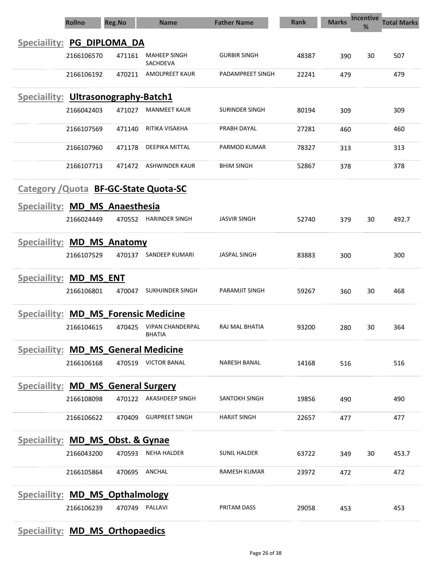|                                             | <b>Rollno</b> | <b>Reg.No</b> | <b>Name</b>                              | <b>Father Name</b>    | <b>Rank</b> | <b>Marks</b> | Incentive<br>% | <b>Total Marks</b> |
|---------------------------------------------|---------------|---------------|------------------------------------------|-----------------------|-------------|--------------|----------------|--------------------|
| <b>Speciaility:</b>                         |               | PG DIPLOMA DA |                                          |                       |             |              |                |                    |
|                                             | 2166106570    | 471161        | <b>MAHEEP SINGH</b><br><b>SACHDEVA</b>   | <b>GURBIR SINGH</b>   | 48387       | 390          | 30             | 507                |
|                                             | 2166106192    | 470211        | <b>AMOLPREET KAUR</b>                    | PADAMPREET SINGH      | 22241       | 479          |                | 479                |
| <b>Speciallity: Ultrasonography-Batch1</b>  |               |               |                                          |                       |             |              |                |                    |
|                                             | 2166042403    | 471027        | <b>MANMEET KAUR</b>                      | SURINDER SINGH        | 80194       | 309          |                | 309                |
|                                             | 2166107569    | 471140        | RITIKA VISAKHA                           | PRABH DAYAL           | 27281       | 460          |                | 460                |
|                                             | 2166107960    | 471178        | DEEPIKA MITTAL                           | PARMOD KUMAR          | 78327       | 313          |                | 313                |
|                                             | 2166107713    | 471472        | <b>ASHWINDER KAUR</b>                    | <b>BHIM SINGH</b>     | 52867       | 378          |                | 378                |
|                                             |               |               | Category / Quota BF-GC-State Quota-SC    |                       |             |              |                |                    |
| Speciaility: MD_MS_Anaesthesia              |               |               |                                          |                       |             |              |                |                    |
|                                             | 2166024449    | 470552        | HARINDER SINGH                           | <b>JASVIR SINGH</b>   | 52740       | 379          | 30             | 492.7              |
| Speciallity: MD_MS_Anatomy                  |               |               |                                          |                       |             |              |                |                    |
|                                             | 2166107529    | 470137        | <b>SANDEEP KUMARI</b>                    | <b>JASPAL SINGH</b>   | 83883       | 300          |                | 300                |
| Speciallity: MD_MS ENT                      |               |               |                                          |                       |             |              |                |                    |
|                                             | 2166106801    | 470047        | SUKHJINDER SINGH                         | <b>PARAMJIT SINGH</b> | 59267       | 360          | 30             | 468                |
| <b>Speciallity: MD_MS_Forensic Medicine</b> |               |               |                                          |                       |             |              |                |                    |
|                                             | 2166104615    | 470425        | <b>VIPAN CHANDERPAL</b><br><b>BHATIA</b> | RAJ MAL BHATIA        | 93200       | 280          | 30             | 364                |
| Speciallity: MD_MS_General Medicine         |               |               |                                          |                       |             |              |                |                    |
|                                             | 2166106168    |               | 470519 VICTOR BANAL                      | NARESH BANAL          | 14168       | 516          |                | 516                |
| <b>Speciallity: MD_MS_General Surgery</b>   |               |               |                                          |                       |             |              |                |                    |
|                                             | 2166108098    |               | 470122 AKASHDEEP SINGH                   | SANTOKH SINGH         | 19856       | 490          |                | 490                |
|                                             | 2166106622    | 470409        | <b>GURPREET SINGH</b>                    | <b>HARJIT SINGH</b>   | 22657       | 477          |                | 477                |
| <b>Speciallity: MD_MS_Obst. &amp; Gynae</b> |               |               |                                          |                       |             |              |                |                    |
|                                             | 2166043200    | 470593        | <b>NEHA HALDER</b>                       | <b>SUNIL HALDER</b>   | 63722       | 349          | 30             | 453.7              |
|                                             | 2166105864    | 470695        | ANCHAL                                   | <b>RAMESH KUMAR</b>   | 23972       | 472          |                | 472                |
| <b>Speciallity: MD MS Opthalmology</b>      |               |               |                                          |                       |             |              |                |                    |
|                                             | 2166106239    |               | 470749 PALLAVI                           | PRITAM DASS           | 29058       | 453          |                | 453                |

## Speciaility: **MD\_MS\_Orthopaedics**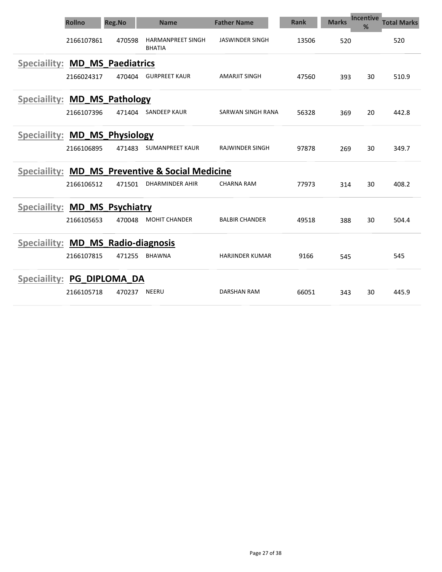|                                    | <b>Rollno</b> | <b>Reg.No</b>            | <b>Name</b>                                                | <b>Father Name</b>     | <b>Rank</b> | <b>Marks</b> | <b>Incentive</b><br>℅ | <b>Total Marks</b> |
|------------------------------------|---------------|--------------------------|------------------------------------------------------------|------------------------|-------------|--------------|-----------------------|--------------------|
|                                    | 2166107861    | 470598                   | <b>HARMANPREET SINGH</b><br><b>BHATIA</b>                  | <b>JASWINDER SINGH</b> | 13506       | 520          |                       | 520                |
| <b>Speciaility:</b>                |               | <b>MD_MS_Paediatrics</b> |                                                            |                        |             |              |                       |                    |
|                                    | 2166024317    | 470404                   | <b>GURPREET KAUR</b>                                       | <b>AMARJIT SINGH</b>   | 47560       | 393          | 30                    | 510.9              |
| Speciallity: MD_MS_Pathology       |               |                          |                                                            |                        |             |              |                       |                    |
|                                    | 2166107396    | 471404                   | <b>SANDEEP KAUR</b>                                        | SARWAN SINGH RANA      | 56328       | 369          | 20                    | 442.8              |
| Speciallity: MD_MS_Physiology      |               |                          |                                                            |                        |             |              |                       |                    |
|                                    | 2166106895    | 471483                   | <b>SUMANPREET KAUR</b>                                     | <b>RAJWINDER SINGH</b> | 97878       | 269          | 30                    | 349.7              |
|                                    |               |                          | <b>Speciallity: MD MS Preventive &amp; Social Medicine</b> |                        |             |              |                       |                    |
|                                    | 2166106512    | 471501                   | <b>DHARMINDER AHIR</b>                                     | <b>CHARNA RAM</b>      | 77973       | 314          | 30                    | 408.2              |
| Speciallity: MD MS Psychiatry      |               |                          |                                                            |                        |             |              |                       |                    |
|                                    | 2166105653    | 470048                   | <b>MOHIT CHANDER</b>                                       | <b>BALBIR CHANDER</b>  | 49518       | 388          | 30                    | 504.4              |
| Speciallity: MD_MS_Radio-diagnosis |               |                          |                                                            |                        |             |              |                       |                    |
|                                    | 2166107815    | 471255                   | <b>BHAWNA</b>                                              | <b>HARJINDER KUMAR</b> | 9166        | 545          |                       | 545                |
| Speciallity: PG_DIPLOMA_DA         |               |                          |                                                            |                        |             |              |                       |                    |
|                                    | 2166105718    | 470237                   | <b>NEERU</b>                                               | <b>DARSHAN RAM</b>     | 66051       | 343          | 30                    | 445.9              |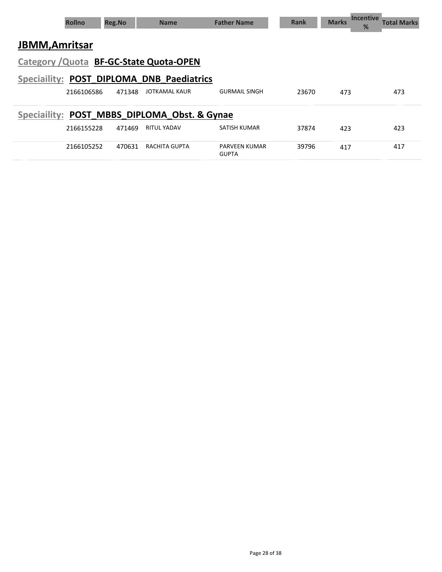|                       | <b>Rollno</b> | <b>Reg.No</b> | <b>Name</b>                                  | <b>Father Name</b>                   | <b>Rank</b> | Marks Incentive<br>% | Total Marks |
|-----------------------|---------------|---------------|----------------------------------------------|--------------------------------------|-------------|----------------------|-------------|
| <b>JBMM, Amritsar</b> |               |               |                                              |                                      |             |                      |             |
|                       |               |               | Category / Quota BF-GC-State Quota-OPEN      |                                      |             |                      |             |
|                       |               |               | Speciallity: POST DIPLOMA DNB Paediatrics    |                                      |             |                      |             |
|                       | 2166106586    | 471348        | JOTKAMAL KAUR                                | <b>GURMAIL SINGH</b>                 | 23670       | 473                  | 473         |
|                       |               |               | Speciallity: POST MBBS DIPLOMA Obst. & Gynae |                                      |             |                      |             |
|                       | 2166155228    | 471469        | <b>RITUL YADAV</b>                           | SATISH KUMAR                         | 37874       | 423                  | 423         |
|                       | 2166105252    | 470631        | RACHITA GUPTA                                | <b>PARVEEN KUMAR</b><br><b>GUPTA</b> | 39796       | 417                  | 417         |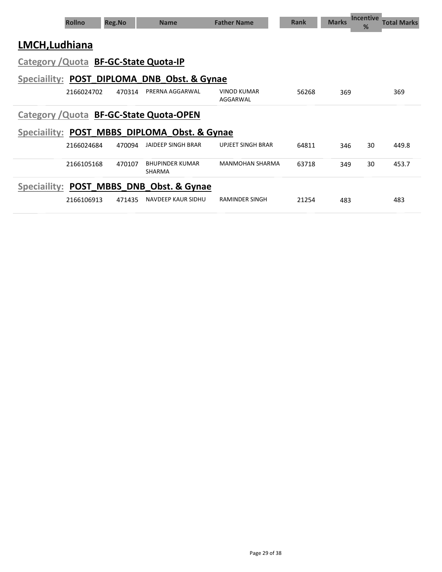| <b>Rollno</b>                                | <b>Reg.No</b> | <b>Name</b>                      | <b>Father Name</b>             | <b>Rank</b> | <b>Marks</b> | <b>Incentive</b><br>% | <b>Total Marks</b> |
|----------------------------------------------|---------------|----------------------------------|--------------------------------|-------------|--------------|-----------------------|--------------------|
| LMCH, Ludhiana                               |               |                                  |                                |             |              |                       |                    |
| Category / Quota BF-GC-State Quota-IP        |               |                                  |                                |             |              |                       |                    |
| Speciallity: POST DIPLOMA DNB Obst. & Gynae  |               |                                  |                                |             |              |                       |                    |
| 2166024702                                   | 470314        | PRERNA AGGARWAL                  | <b>VINOD KUMAR</b><br>AGGARWAL | 56268       | 369          |                       | 369                |
| Category / Quota BF-GC-State Quota-OPEN      |               |                                  |                                |             |              |                       |                    |
| Speciallity: POST MBBS DIPLOMA Obst. & Gynae |               |                                  |                                |             |              |                       |                    |
| 2166024684                                   | 470094        | <b>JAIDEEP SINGH BRAR</b>        | <b>UPJEET SINGH BRAR</b>       | 64811       | 346          | 30                    | 449.8              |
| 2166105168                                   | 470107        | <b>BHUPINDER KUMAR</b><br>SHARMA | <b>MANMOHAN SHARMA</b>         | 63718       | 349          | 30                    | 453.7              |
| Speciallity: POST MBBS DNB Obst. & Gynae     |               |                                  |                                |             |              |                       |                    |
| 2166106913                                   | 471435        | NAVDEEP KAUR SIDHU               | <b>RAMINDER SINGH</b>          | 21254       | 483          |                       | 483                |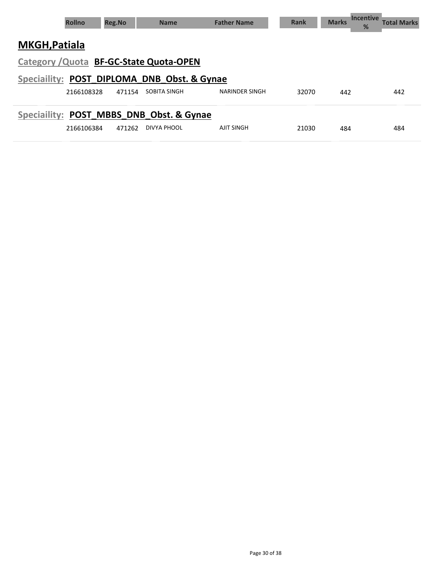|                      | <b>Rollno</b> | <b>Reg.No</b> | <b>Name</b>                                 | <b>Father Name</b> | Rank  | <b>Marks</b> | <b>Incentive</b><br>% | <b>Total Marks</b> |
|----------------------|---------------|---------------|---------------------------------------------|--------------------|-------|--------------|-----------------------|--------------------|
| <b>MKGH, Patiala</b> |               |               |                                             |                    |       |              |                       |                    |
|                      |               |               | Category / Quota BF-GC-State Quota-OPEN     |                    |       |              |                       |                    |
|                      |               |               | Speciallity: POST DIPLOMA DNB Obst. & Gynae |                    |       |              |                       |                    |
|                      | 2166108328    | 471154        | SOBITA SINGH                                | NARINDER SINGH     | 32070 | 442          |                       | 442                |
|                      |               |               | Speciallity: POST MBBS DNB Obst. & Gynae    |                    |       |              |                       |                    |
|                      | 2166106384    | 471262        | DIVYA PHOOL                                 | <b>AJIT SINGH</b>  | 21030 | 484          |                       | 484                |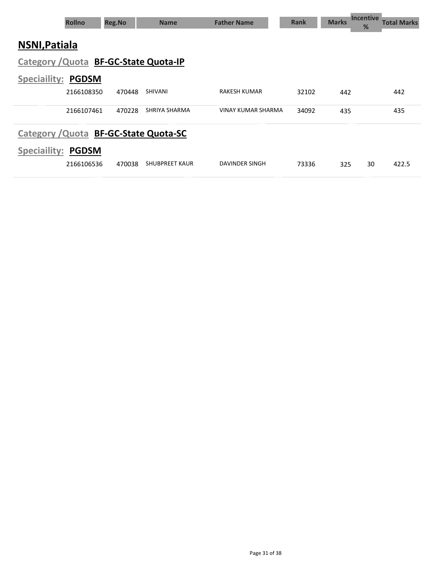| <b>Rollno</b>                         |              | <b>Reg.No</b> | <b>Name</b>           | <b>Father Name</b>  | <b>Rank</b> | <b>Incentive</b><br><b>Marks</b><br>% | Total Marks |
|---------------------------------------|--------------|---------------|-----------------------|---------------------|-------------|---------------------------------------|-------------|
| <b>NSNI, Patiala</b>                  |              |               |                       |                     |             |                                       |             |
| Category / Quota BF-GC-State Quota-IP |              |               |                       |                     |             |                                       |             |
| <b>Speciallity: PGDSM</b>             |              |               |                       |                     |             |                                       |             |
|                                       | 2166108350   | 470448        | <b>SHIVANI</b>        | <b>RAKESH KUMAR</b> | 32102       | 442                                   | 442         |
|                                       | 2166107461   | 470228        | SHRIYA SHARMA         | VINAY KUMAR SHARMA  | 34092       | 435                                   | 435         |
| Category / Quota BF-GC-State Quota-SC |              |               |                       |                     |             |                                       |             |
| <b>Speciaility:</b>                   | <b>PGDSM</b> |               |                       |                     |             |                                       |             |
|                                       | 2166106536   | 470038        | <b>SHUBPREET KAUR</b> | DAVINDER SINGH      | 73336       | 30<br>325                             | 422.5       |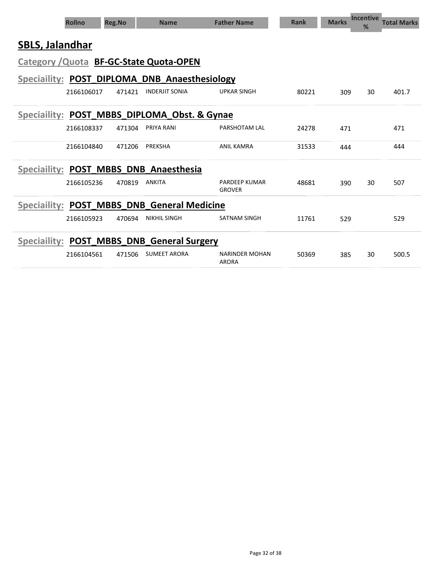|                        | <b>Rollno</b> | <b>Reg.No</b> | <b>Name</b>                                   | <b>Father Name</b>                    | <b>Rank</b> | <b>Marks</b> | <b>Incentive</b><br>% | <b>Total Marks</b> |
|------------------------|---------------|---------------|-----------------------------------------------|---------------------------------------|-------------|--------------|-----------------------|--------------------|
| <b>SBLS, Jalandhar</b> |               |               |                                               |                                       |             |              |                       |                    |
|                        |               |               | Category / Quota BF-GC-State Quota-OPEN       |                                       |             |              |                       |                    |
|                        |               |               | Speciallity: POST DIPLOMA DNB Anaesthesiology |                                       |             |              |                       |                    |
|                        | 2166106017    | 471421        | <b>INDERJIT SONIA</b>                         | <b>UPKAR SINGH</b>                    | 80221       | 309          | 30                    | 401.7              |
| <b>Speciaility:</b>    |               |               | POST_MBBS_DIPLOMA_Obst. & Gynae               |                                       |             |              |                       |                    |
|                        | 2166108337    | 471304        | PRIYA RANI                                    | PARSHOTAM LAL                         | 24278       | 471          |                       | 471                |
|                        | 2166104840    | 471206        | PREKSHA                                       | <b>ANIL KAMRA</b>                     | 31533       | 444          |                       | 444                |
|                        |               |               | Speciallity: POST MBBS DNB Anaesthesia        |                                       |             |              |                       |                    |
|                        | 2166105236    | 470819        | <b>ANKITA</b>                                 | <b>PARDEEP KUMAR</b><br><b>GROVER</b> | 48681       | 390          | 30                    | 507                |
| <b>Speciallity:</b>    | POST MBBS     |               | <b>DNB General Medicine</b>                   |                                       |             |              |                       |                    |
|                        | 2166105923    | 470694        | <b>NIKHIL SINGH</b>                           | <b>SATNAM SINGH</b>                   | 11761       | 529          |                       | 529                |
|                        |               |               | Speciallity: POST_MBBS_DNB_General Surgery    |                                       |             |              |                       |                    |
|                        | 2166104561    | 471506        | <b>SUMEET ARORA</b>                           | <b>NARINDER MOHAN</b><br><b>ARORA</b> | 50369       | 385          | 30                    | 500.5              |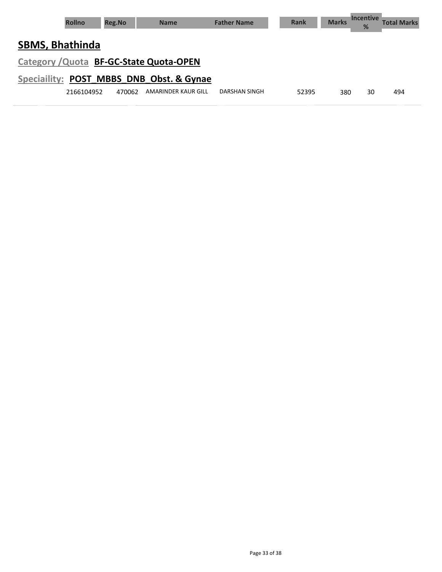| <b>Rollno</b>                           | <b>Reg.No</b> | <b>Name</b>         | <b>Father Name</b> | <b>Rank</b> | <b>Marks</b> | <b>Incentive</b><br>% | <b>Total Marks</b> |
|-----------------------------------------|---------------|---------------------|--------------------|-------------|--------------|-----------------------|--------------------|
| <b>SBMS, Bhathinda</b>                  |               |                     |                    |             |              |                       |                    |
| Category / Quota BF-GC-State Quota-OPEN |               |                     |                    |             |              |                       |                    |
| Speciality: POST MBBS DNB Obst. & Gynae |               |                     |                    |             |              |                       |                    |
| 2166104952                              | 470062        | AMARINDER KAUR GILL | DARSHAN SINGH      | 52395       | 380          | 30                    | 494                |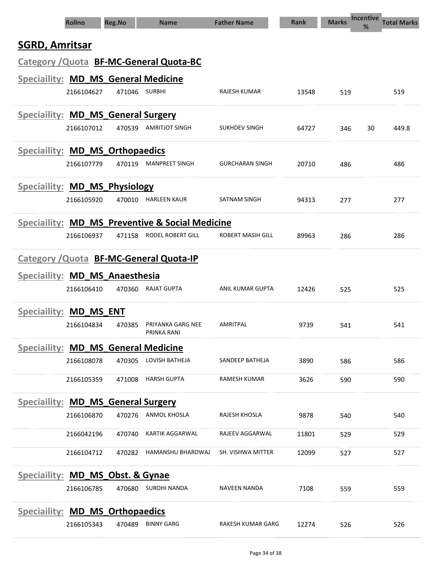| <b>Rollno</b>                                    | <b>Reg.No</b> | <b>Name</b>                      | <b>Father Name</b>     | <b>Rank</b> | <b>Marks</b> | <b>Incentive</b><br>% | <b>Total Marks</b> |
|--------------------------------------------------|---------------|----------------------------------|------------------------|-------------|--------------|-----------------------|--------------------|
| <b>SGRD, Amritsar</b>                            |               |                                  |                        |             |              |                       |                    |
| Category / Quota BF-MC-General Quota-BC          |               |                                  |                        |             |              |                       |                    |
| Speciallity: MD_MS_General Medicine              |               |                                  |                        |             |              |                       |                    |
| 2166104627                                       | 471046        | <b>SURBHI</b>                    | RAJESH KUMAR           | 13548       | 519          |                       | 519                |
|                                                  |               |                                  |                        |             |              |                       |                    |
| Speciallity: MD_MS_General Surgery<br>2166107012 | 470539        | AMRITJOT SINGH                   | SUKHDEV SINGH          | 64727       | 346          | 30                    | 449.8              |
|                                                  |               |                                  |                        |             |              |                       |                    |
| <b>Speciallity: MD_MS_Orthopaedics</b>           |               |                                  |                        |             |              |                       |                    |
| 2166107779                                       | 470119        | <b>MANPREET SINGH</b>            | <b>GURCHARAN SINGH</b> | 20710       | 486          |                       | 486                |
| <b>Speciallity: MD_MS_Physiology</b>             |               |                                  |                        |             |              |                       |                    |
| 2166105920                                       | 470010        | <b>HARLEEN KAUR</b>              | <b>SATNAM SINGH</b>    | 94313       | 277          |                       | 277                |
| Speciallity: MD MS Preventive & Social Medicine  |               |                                  |                        |             |              |                       |                    |
| 2166106937                                       | 471158        | RODEL ROBERT GILL                | ROBERT MASIH GILL      | 89963       | 286          |                       | 286                |
| Category / Quota BF-MC-General Quota-IP          |               |                                  |                        |             |              |                       |                    |
| Speciaility: MD_MS_Anaesthesia                   |               |                                  |                        |             |              |                       |                    |
| 2166106410                                       | 470360        | <b>RAJAT GUPTA</b>               | ANIL KUMAR GUPTA       | 12426       | 525          |                       | 525                |
| Speciallity: MD MS ENT                           |               |                                  |                        |             |              |                       |                    |
| 2166104834                                       | 470385        | PRIYANKA GARG NEE<br>PRINKA RANI | <b>AMRITPAL</b>        | 9739        | 541          |                       | 541                |
| <b>Speciallity: MD_MS_General Medicine</b>       |               |                                  |                        |             |              |                       |                    |
| 2166108078                                       | 470305        | LOVISH BATHEJA                   | SANDEEP BATHEJA        | 3890        | 586          |                       | 586                |
| 2166105359                                       | 471008        | <b>HARSH GUPTA</b>               | RAMESH KUMAR           | 3626        | 590          |                       | 590                |
| <b>Speciallity: MD_MS_General Surgery</b>        |               |                                  |                        |             |              |                       |                    |
| 2166106870                                       |               | 470276 ANMOL KHOSLA              | RAJESH KHOSLA          | 9878        | 540          |                       | 540                |
| 2166042196                                       | 470740        | <b>KARTIK AGGARWAL</b>           | RAJEEV AGGARWAL        | 11801       | 529          |                       | 529                |
| 2166104712                                       | 470282        | HAMANSHU BHARDWAJ                | SH. VISHWA MITTER      | 12099       | 527          |                       | 527                |
| Speciallity: MD_MS_Obst. & Gynae                 |               |                                  |                        |             |              |                       |                    |
| 2166106785                                       | 470680        | <b>SUROHI NANDA</b>              | NAVEEN NANDA           | 7108        | 559          |                       | 559                |
|                                                  |               |                                  |                        |             |              |                       |                    |
| <b>Speciallity: MD MS Orthopaedics</b>           |               | <b>BINNY GARG</b>                | RAKESH KUMAR GARG      |             |              |                       |                    |
| 2166105343                                       | 470489        |                                  |                        | 12274       | 526          |                       | 526                |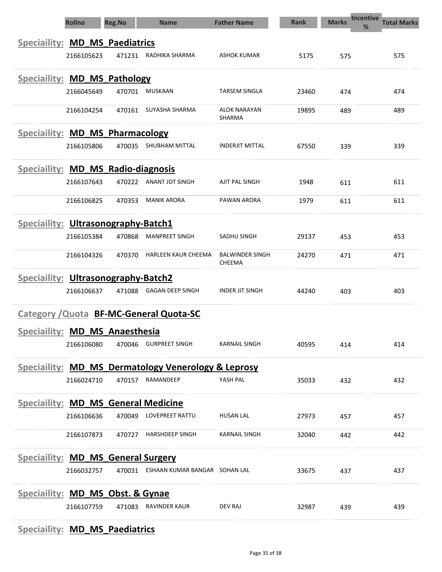|                                             | <b>Rollno</b> | <b>Reg.No</b> | <b>Name</b>                                         | <b>Father Name</b>               | <b>Rank</b> | <b>Marks</b> | <b>Incentive</b><br><b>Total Marks</b><br>% |
|---------------------------------------------|---------------|---------------|-----------------------------------------------------|----------------------------------|-------------|--------------|---------------------------------------------|
| Speciallity: MD_MS_Paediatrics              |               |               |                                                     |                                  |             |              |                                             |
|                                             | 2166105623    | 471231        | RADHIKA SHARMA                                      | <b>ASHOK KUMAR</b>               | 5175        | 575          | 575                                         |
| Speciallity: MD_MS_Pathology                |               |               |                                                     |                                  |             |              |                                             |
|                                             | 2166045649    | 470701        | MUSKAAN                                             | <b>TARSEM SINGLA</b>             | 23460       | 474          | 474                                         |
|                                             | 2166104254    | 470161        | SUYASHA SHARMA                                      | <b>ALOK NARAYAN</b>              | 19895       | 489          | 489                                         |
|                                             |               |               |                                                     | SHARMA                           |             |              |                                             |
| Speciallity: MD_MS_Pharmacology             |               |               |                                                     |                                  |             |              |                                             |
|                                             | 2166105806    | 470035        | SHUBHAM MITTAL                                      | <b>INDERJIT MITTAL</b>           | 67550       | 339          | 339                                         |
| <b>Speciallity: MD MS Radio-diagnosis</b>   |               |               |                                                     |                                  |             |              |                                             |
|                                             | 2166107643    | 470222        | ANANT JOT SINGH                                     | AJIT PAL SINGH                   | 1948        | 611          | 611                                         |
|                                             | 2166106825    | 470353        | <b>MANIK ARORA</b>                                  | PAWAN ARORA                      | 1979        | 611          | 611                                         |
| <b>Speciallity: Ultrasonography-Batch1</b>  |               |               |                                                     |                                  |             |              |                                             |
|                                             | 2166105384    | 470868        | <b>MANPREET SINGH</b>                               | SADHU SINGH                      | 29137       | 453          | 453                                         |
|                                             | 2166104326    | 470370        | <b>HARLEEN KAUR CHEEMA</b>                          | <b>BALWINDER SINGH</b><br>CHEEMA | 24270       | 471          | 471                                         |
| Speciaility: Ultrasonography-Batch2         |               |               |                                                     |                                  |             |              |                                             |
|                                             | 2166106637    | 471088        | <b>GAGAN DEEP SINGH</b>                             | <b>INDER JIT SINGH</b>           | 44240       | 403          | 403                                         |
|                                             |               |               | <b>Category / Quota BF-MC-General Quota-SC</b>      |                                  |             |              |                                             |
| Speciaility: MD_MS_Anaesthesia              |               |               |                                                     |                                  |             |              |                                             |
|                                             | 2166106080    | 470046        | <b>GURPREET SINGH</b>                               | <b>KARNAIL SINGH</b>             | 40595       | 414          | 414                                         |
|                                             |               |               | Speciallity: MD MS Dermatology Venerology & Leprosy |                                  |             |              |                                             |
|                                             | 2166024710    |               | 470157 RAMANDEEP                                    | YASH PAL                         | 35033       | 432          | 432                                         |
| <b>Speciallity: MD_MS_General Medicine</b>  |               |               |                                                     |                                  |             |              |                                             |
|                                             | 2166106636    |               | 470049 LOVEPREET RATTU                              | <b>HUSAN LAL</b>                 | 27973       | 457          | 457                                         |
|                                             | 2166107873    | 470727        | <b>HARSHDEEP SINGH</b>                              | <b>KARNAIL SINGH</b>             | 32040       | 442          | 442                                         |
|                                             |               |               |                                                     |                                  |             |              |                                             |
| <b>Speciallity: MD_MS_General Surgery</b>   |               |               |                                                     |                                  |             |              |                                             |
|                                             | 2166032757    |               | 470031 ESHAAN KUMAR BANGAR SOHAN LAL                |                                  | 33675       | 437          | 437                                         |
| <b>Speciallity: MD_MS_Obst. &amp; Gynae</b> |               |               |                                                     |                                  |             |              |                                             |
|                                             | 2166107759    | 471083        | <b>RAVINDER KAUR</b>                                | <b>DEV RAJ</b>                   | 32987       | 439          | 439                                         |
|                                             |               |               |                                                     |                                  |             |              |                                             |

#### Speciaility: MD\_MS\_Paediatrics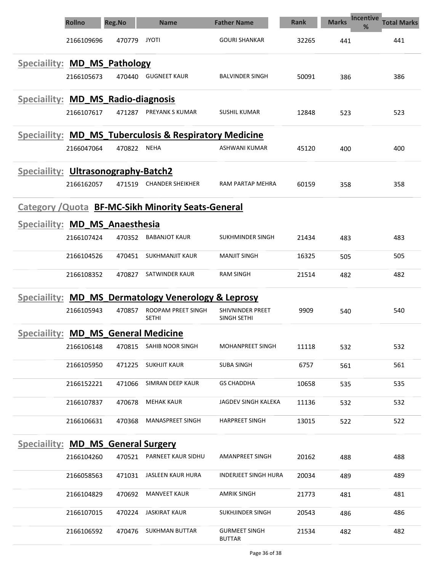|                                            | <b>Rollno</b> | <b>Reg.No</b> | <b>Name</b>                                                       | <b>Father Name</b>                     | <b>Rank</b> | <b>Incentive</b><br><b>Marks</b><br>% | <b>Total Marks</b> |
|--------------------------------------------|---------------|---------------|-------------------------------------------------------------------|----------------------------------------|-------------|---------------------------------------|--------------------|
|                                            | 2166109696    | 470779        | <b>JYOTI</b>                                                      | <b>GOURI SHANKAR</b>                   | 32265       | 441                                   | 441                |
| Speciallity: MD_MS_Pathology               |               |               |                                                                   |                                        |             |                                       |                    |
|                                            | 2166105673    | 470440        | <b>GUGNEET KAUR</b>                                               | <b>BALVINDER SINGH</b>                 | 50091       | 386                                   | 386                |
| Speciallity: MD_MS_Radio-diagnosis         |               |               |                                                                   |                                        |             |                                       |                    |
|                                            | 2166107617    | 471287        | PREYANK S KUMAR                                                   | <b>SUSHIL KUMAR</b>                    | 12848       | 523                                   | 523                |
|                                            |               |               | <b>Speciallity: MD MS Tuberculosis &amp; Respiratory Medicine</b> |                                        |             |                                       |                    |
|                                            | 2166047064    | 470822        | <b>NEHA</b>                                                       | ASHWANI KUMAR                          | 45120       | 400                                   | 400                |
| <b>Speciaility: Ultrasonography-Batch2</b> |               |               |                                                                   |                                        |             |                                       |                    |
|                                            | 2166162057    | 471519        | <b>CHANDER SHEIKHER</b>                                           | RAM PARTAP MEHRA                       | 60159       | 358                                   | 358                |
|                                            |               |               | <b>Category / Quota BF-MC-Sikh Minority Seats-General</b>         |                                        |             |                                       |                    |
| Speciaility: MD_MS_Anaesthesia             |               |               |                                                                   |                                        |             |                                       |                    |
|                                            | 2166107424    | 470352        | <b>BABANJOT KAUR</b>                                              | SUKHMINDER SINGH                       | 21434       | 483                                   | 483                |
|                                            | 2166104526    | 470451        | SUKHMANJIT KAUR                                                   | <b>MANJIT SINGH</b>                    | 16325       | 505                                   | 505                |
|                                            | 2166108352    | 470827        | SATWINDER KAUR                                                    | <b>RAM SINGH</b>                       | 21514       | 482                                   | 482                |
| Speciaility:                               |               |               | <b>MD_MS_Dermatology Venerology &amp; Leprosy</b>                 |                                        |             |                                       |                    |
|                                            | 2166105943    | 470857        | ROOPAM PREET SINGH<br><b>SETHI</b>                                | <b>SHIVNINDER PREET</b><br>SINGH SETHI | 9909        | 540                                   | 540                |
| Speciallity: MD MS General Medicine        |               |               |                                                                   |                                        |             |                                       |                    |
|                                            | 2166106148    | 470815        | SAHIB NOOR SINGH                                                  | <b>MOHANPREET SINGH</b>                | 11118       | 532                                   | 532                |
|                                            | 2166105950    | 471225        | SUKHJIT KAUR                                                      | <b>SUBA SINGH</b>                      | 6757        | 561                                   | 561                |
|                                            | 2166152221    | 471066        | SIMRAN DEEP KAUR                                                  | <b>GS CHADDHA</b>                      | 10658       | 535                                   | 535                |
|                                            | 2166107837    | 470678        | <b>MEHAK KAUR</b>                                                 | JAGDEV SINGH KALEKA                    | 11136       | 532                                   | 532                |
|                                            | 2166106631    | 470368        | MANASPREET SINGH                                                  | <b>HARPREET SINGH</b>                  | 13015       | 522                                   | 522                |
| Speciallity: MD_MS_General Surgery         |               |               |                                                                   |                                        |             |                                       |                    |
|                                            | 2166104260    | 470521        | PARNEET KAUR SIDHU                                                | AMANPREET SINGH                        | 20162       | 488                                   | 488                |
|                                            | 2166058563    | 471031        | JASLEEN KAUR HURA                                                 | <b>INDERJEET SINGH HURA</b>            | 20034       | 489                                   | 489                |
|                                            | 2166104829    | 470692        | <b>MANVEET KAUR</b>                                               | <b>AMRIK SINGH</b>                     | 21773       | 481                                   | 481                |
|                                            | 2166107015    | 470224        | <b>JASKIRAT KAUR</b>                                              | <b>SUKHJINDER SINGH</b>                | 20543       | 486                                   | 486                |
|                                            | 2166106592    | 470476        | <b>SUKHMAN BUTTAR</b>                                             | <b>GURMEET SINGH</b><br><b>BUTTAR</b>  | 21534       | 482                                   | 482                |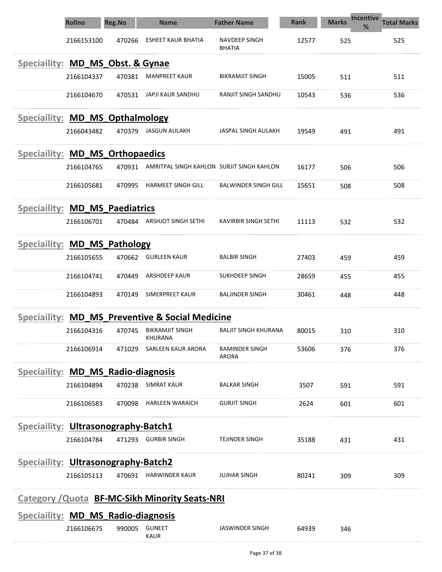|                                                       | <b>Rollno</b> | <b>Reg.No</b>          | <b>Name</b>                                   | <b>Father Name</b>                    | <b>Rank</b> | <b>Marks</b> | <b>Incentive</b><br><b>Total Marks</b><br>% |  |  |  |  |
|-------------------------------------------------------|---------------|------------------------|-----------------------------------------------|---------------------------------------|-------------|--------------|---------------------------------------------|--|--|--|--|
|                                                       | 2166153100    | 470266                 | <b>ESHEET KAUR BHATIA</b>                     | <b>NAVDEEP SINGH</b><br><b>BHATIA</b> | 12577       | 525          | 525                                         |  |  |  |  |
| Speciallity: MD_MS_Obst. & Gynae                      |               |                        |                                               |                                       |             |              |                                             |  |  |  |  |
|                                                       | 2166104337    | 470381                 | <b>MANPREET KAUR</b>                          | <b>BIKRAMJIT SINGH</b>                | 15005       | 511          | 511                                         |  |  |  |  |
|                                                       | 2166104670    | 470531                 | JAPJI KAUR SANDHU                             | RANJIT SINGH SANDHU                   | 10543       | 536          | 536                                         |  |  |  |  |
| Speciallity: MD MS Opthalmology                       |               |                        |                                               |                                       |             |              |                                             |  |  |  |  |
|                                                       | 2166043482    | 470379                 | JASGUN AULAKH                                 | JASPAL SINGH AULAKH                   | 19549       | 491          | 491                                         |  |  |  |  |
| Speciallity: MD_MS_Orthopaedics                       |               |                        |                                               |                                       |             |              |                                             |  |  |  |  |
|                                                       | 2166104765    | 470931                 | AMRITPAL SINGH KAHLON SURJIT SINGH KAHLON     |                                       | 16177       | 506          | 506                                         |  |  |  |  |
|                                                       | 2166105681    | 470995                 | <b>HARMEET SINGH GILL</b>                     | <b>BALWINDER SINGH GILL</b>           | 15651       | 508          | 508                                         |  |  |  |  |
| <b>Speciallity: MD_MS_Paediatrics</b>                 |               |                        |                                               |                                       |             |              |                                             |  |  |  |  |
|                                                       | 2166106701    | 470484                 | ARSHJOT SINGH SETHI                           | KAVIRBIR SINGH SETHI                  | 11113       | 532          | 532                                         |  |  |  |  |
| <b>Speciaility:</b>                                   |               | <b>MD_MS_Pathology</b> |                                               |                                       |             |              |                                             |  |  |  |  |
|                                                       | 2166105655    | 470662                 | <b>GURLEEN KAUR</b>                           | <b>BALBIR SINGH</b>                   | 27403       | 459          | 459                                         |  |  |  |  |
|                                                       | 2166104741    | 470449                 | ARSHDEEP KAUR                                 | SUKHDEEP SINGH                        | 28659       | 455          | 455                                         |  |  |  |  |
|                                                       | 2166104893    | 470149                 | <b>SIMERPREET KAUR</b>                        | <b>BALJINDER SINGH</b>                | 30461       | 448          | 448                                         |  |  |  |  |
| <b>Speciallity:</b>                                   |               |                        | <b>MD MS Preventive &amp; Social Medicine</b> |                                       |             |              |                                             |  |  |  |  |
|                                                       | 2166104316    | 470745                 | <b>BIKRAMJIT SINGH</b><br>KHURANA             | BALJIT SINGH KHURANA                  | 80015       | 310          | 310                                         |  |  |  |  |
|                                                       | 2166106914    | 471029                 | SARLEEN KAUR ARORA                            | RAMINDER SINGH<br>ARORA               | 53606       | 376          | 376                                         |  |  |  |  |
| Speciallity: MD MS Radio-diagnosis                    |               |                        |                                               |                                       |             |              |                                             |  |  |  |  |
|                                                       | 2166104894    | 470238                 | <b>SIMRAT KAUR</b>                            | BALKAR SINGH                          | 3507        | 591          | 591                                         |  |  |  |  |
|                                                       | 2166106583    | 470098                 | <b>HARLEEN WARAICH</b>                        | <b>GURJIT SINGH</b>                   | 2624        | 601          | 601                                         |  |  |  |  |
| <b>Speciallity: Ultrasonography-Batch1</b>            |               |                        |                                               |                                       |             |              |                                             |  |  |  |  |
|                                                       | 2166104784    |                        | 471293 GURBIR SINGH                           | <b>TEJINDER SINGH</b>                 | 35188       | 431          | 431                                         |  |  |  |  |
| Speciallity: Ultrasonography-Batch2                   |               |                        |                                               |                                       |             |              |                                             |  |  |  |  |
|                                                       | 2166105113    |                        | 470691 HARWINDER KAUR                         | <b>JUJHAR SINGH</b>                   | 80241       | 309          | 309                                         |  |  |  |  |
| <b>Category / Quota BF-MC-Sikh Minority Seats-NRI</b> |               |                        |                                               |                                       |             |              |                                             |  |  |  |  |
| Speciaility: MD_MS_Radio-diagnosis                    |               |                        |                                               |                                       |             |              |                                             |  |  |  |  |
|                                                       | 2166106675    | 990005                 | <b>GUNEET</b><br><b>KAUR</b>                  | <b>JASWINDER SINGH</b>                | 64939       | 346          |                                             |  |  |  |  |